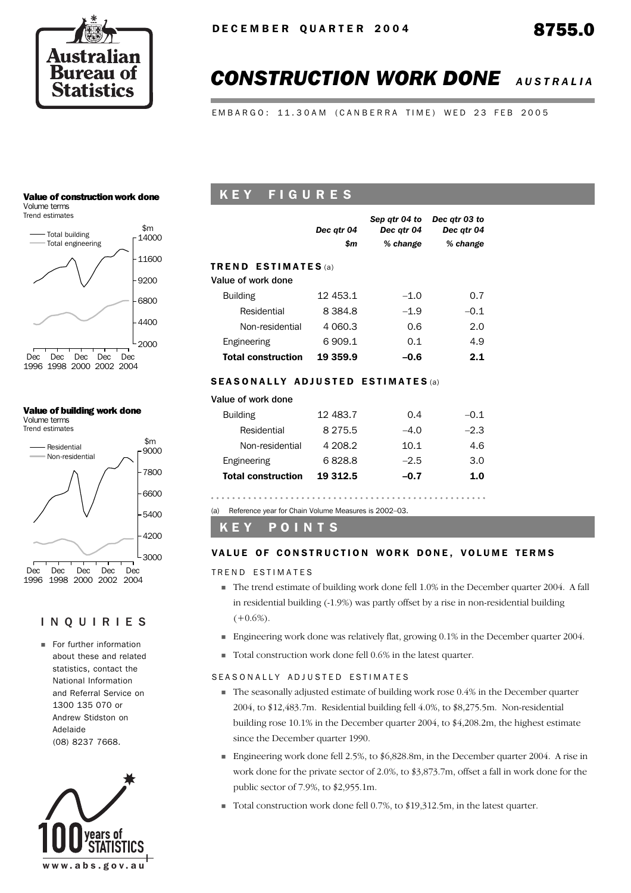

# *CONSTRUCTION WORK DONE AUSTRALIA*

EMBARGO: 11.30AM (CANBERRA TIME) WED 23 FEB 2005

#### Value of construction work done

Volume terms



#### Value of building work done Volume terms

Trend estimates



#### INQUIRIES

**Executive** Enformation about these and related statistics, contact the National Information and Referral Service on 1300 135 070 or Andrew Stidston on Adelaide (08) 8237 7668.



# K E Y F I G U R E S

|                                          | Dec qtr 04  | Sep atr 04 to<br>Dec atr 04 | Dec atr 03 to<br>Dec atr 04 |
|------------------------------------------|-------------|-----------------------------|-----------------------------|
|                                          | \$m         | % change                    | % change                    |
| <b>TREND ESTIMATES</b> (a)               |             |                             |                             |
| Value of work done                       |             |                             |                             |
| <b>Building</b>                          | 12 453.1    | $-1.0$                      | 0.7                         |
| Residential                              | 8 3 8 4 . 8 | $-1.9$                      | $-0.1$                      |
| Non-residential                          | 4 060.3     | 0.6                         | 2.0                         |
| Engineering                              | 6 909.1     | 0.1                         | 4.9                         |
| <b>Total construction</b>                | 19 359.9    | $-0.6$                      | 2.1                         |
| <b>SEASONALLY ADJUSTED ESTIMATES</b> (a) |             |                             |                             |

# Value of work done

| <b>Building</b>           | 12 483.7    | 0.4    | $-0.1$ |
|---------------------------|-------------|--------|--------|
| Residential               | 8 2 7 5 . 5 | $-4.0$ | $-2.3$ |
| Non-residential           | 4 208.2     | 10.1   | 4.6    |
| Engineering               | 6828.8      | $-2.5$ | 3.0    |
| <b>Total construction</b> | 19 312.5    | $-0.7$ | 1.0    |
|                           |             |        |        |

(a) Reference year for Chain Volume Measures is 2002–03.

### K E Y P O I N T S

#### VALUE OF CONSTRUCTION WORK DONE. VOLUME TERMS

TREND ESTIMATES

- ! The trend estimate of building work done fell 1.0% in the December quarter 2004. A fall in residential building (-1.9%) was partly offset by a rise in non-residential building  $(+0.6\%)$ .
- ! Engineering work done was relatively flat, growing 0.1% in the December quarter 2004.
- ! Total construction work done fell 0.6% in the latest quarter.

#### SEASONALLY ADJUSTED ESTIMATES

- ! The seasonally adjusted estimate of building work rose 0.4% in the December quarter 2004, to \$12,483.7m. Residential building fell 4.0%, to \$8,275.5m. Non-residential building rose 10.1% in the December quarter 2004, to \$4,208.2m, the highest estimate since the December quarter 1990.
- **Engineering work done fell 2.5%, to**  $$6,828.8m$ **, in the December quarter 2004. A rise in** work done for the private sector of 2.0%, to \$3,873.7m, offset a fall in work done for the public sector of 7.9%, to \$2,955.1m.
- ! Total construction work done fell 0.7%, to \$19,312.5m, in the latest quarter.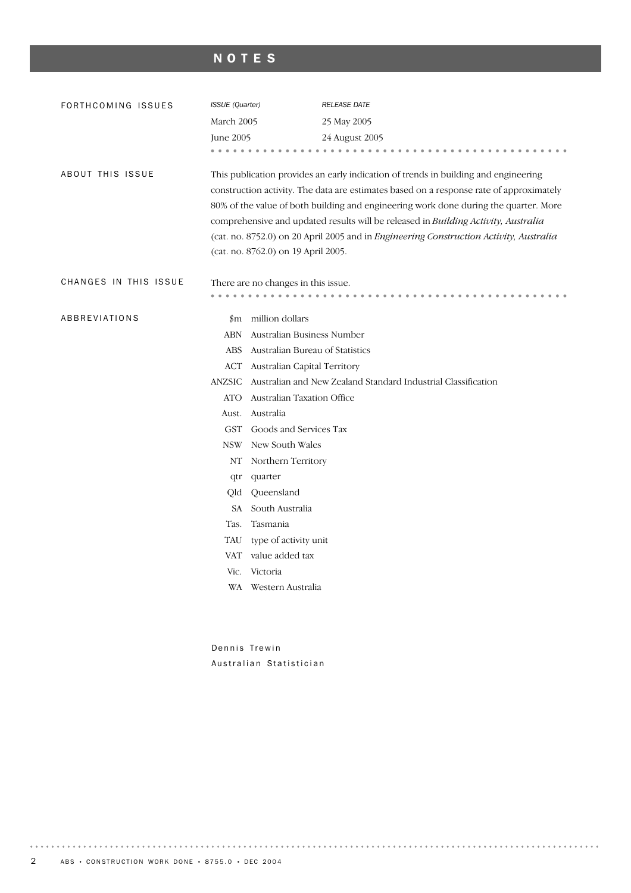# NOTES

| FORTHCOMING ISSUES    | ISSUE (Quarter) |                                                                                                                                                                                                                                                                                                                                                                                                                                                                                               | <b>RELEASE DATE</b>                                           |  |  |  |  |  |
|-----------------------|-----------------|-----------------------------------------------------------------------------------------------------------------------------------------------------------------------------------------------------------------------------------------------------------------------------------------------------------------------------------------------------------------------------------------------------------------------------------------------------------------------------------------------|---------------------------------------------------------------|--|--|--|--|--|
|                       | March 2005      |                                                                                                                                                                                                                                                                                                                                                                                                                                                                                               | 25 May 2005                                                   |  |  |  |  |  |
|                       | June 2005       |                                                                                                                                                                                                                                                                                                                                                                                                                                                                                               | 24 August 2005                                                |  |  |  |  |  |
|                       |                 |                                                                                                                                                                                                                                                                                                                                                                                                                                                                                               |                                                               |  |  |  |  |  |
| ABOUT THIS ISSUE      |                 | This publication provides an early indication of trends in building and engineering<br>construction activity. The data are estimates based on a response rate of approximately<br>80% of the value of both building and engineering work done during the quarter. More<br>comprehensive and updated results will be released in Building Activity, Australia<br>(cat. no. 8752.0) on 20 April 2005 and in Engineering Construction Activity, Australia<br>(cat. no. 8762.0) on 19 April 2005. |                                                               |  |  |  |  |  |
| CHANGES IN THIS ISSUE |                 | There are no changes in this issue.                                                                                                                                                                                                                                                                                                                                                                                                                                                           |                                                               |  |  |  |  |  |
| ABBREVIATIONS         |                 | \$m million dollars                                                                                                                                                                                                                                                                                                                                                                                                                                                                           |                                                               |  |  |  |  |  |
|                       | <b>ABN</b>      | Australian Business Number                                                                                                                                                                                                                                                                                                                                                                                                                                                                    |                                                               |  |  |  |  |  |
|                       | <b>ABS</b>      | Australian Bureau of Statistics                                                                                                                                                                                                                                                                                                                                                                                                                                                               |                                                               |  |  |  |  |  |
|                       | ACT             | Australian Capital Territory                                                                                                                                                                                                                                                                                                                                                                                                                                                                  |                                                               |  |  |  |  |  |
|                       | <b>ANZSIC</b>   |                                                                                                                                                                                                                                                                                                                                                                                                                                                                                               | Australian and New Zealand Standard Industrial Classification |  |  |  |  |  |
|                       | <b>ATO</b>      | Australian Taxation Office                                                                                                                                                                                                                                                                                                                                                                                                                                                                    |                                                               |  |  |  |  |  |
|                       | Aust.           | Australia                                                                                                                                                                                                                                                                                                                                                                                                                                                                                     |                                                               |  |  |  |  |  |
|                       | <b>GST</b>      | Goods and Services Tax                                                                                                                                                                                                                                                                                                                                                                                                                                                                        |                                                               |  |  |  |  |  |
|                       | <b>NSW</b>      | New South Wales                                                                                                                                                                                                                                                                                                                                                                                                                                                                               |                                                               |  |  |  |  |  |
|                       | NΤ              | Northern Territory                                                                                                                                                                                                                                                                                                                                                                                                                                                                            |                                                               |  |  |  |  |  |
|                       | qtr             | quarter                                                                                                                                                                                                                                                                                                                                                                                                                                                                                       |                                                               |  |  |  |  |  |
|                       | Qld             | Queensland                                                                                                                                                                                                                                                                                                                                                                                                                                                                                    |                                                               |  |  |  |  |  |
|                       | SA -            | South Australia                                                                                                                                                                                                                                                                                                                                                                                                                                                                               |                                                               |  |  |  |  |  |
|                       | Tas.            | Tasmania                                                                                                                                                                                                                                                                                                                                                                                                                                                                                      |                                                               |  |  |  |  |  |
|                       | TAU             | type of activity unit                                                                                                                                                                                                                                                                                                                                                                                                                                                                         |                                                               |  |  |  |  |  |
|                       | VAT             | value added tax                                                                                                                                                                                                                                                                                                                                                                                                                                                                               |                                                               |  |  |  |  |  |
|                       | Vic.            | Victoria                                                                                                                                                                                                                                                                                                                                                                                                                                                                                      |                                                               |  |  |  |  |  |
|                       |                 | WA Western Australia                                                                                                                                                                                                                                                                                                                                                                                                                                                                          |                                                               |  |  |  |  |  |
|                       |                 |                                                                                                                                                                                                                                                                                                                                                                                                                                                                                               |                                                               |  |  |  |  |  |

Dennis Trewin Australian Statistician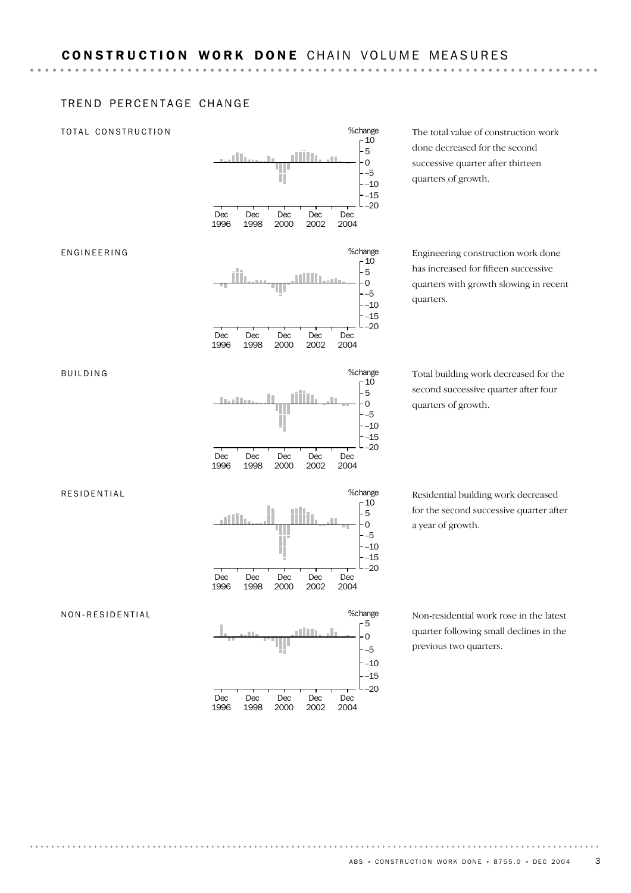%change

#### TREND PERCENTAGE CHANGE

#### TOTAL CONSTRUCTION



The total value of construction work done decreased for the second successive quarter after thirteen quarters of growth.

Engineering construction work done has increased for fifteen successive quarters with growth slowing in recent quarters.

Total building work decreased for the second successive quarter after four quarters of growth.

Residential building work decreased for the second successive quarter after a year of growth.

Non-residential work rose in the latest quarter following small declines in the previous two quarters.

# ENGINEERING

RESIDENTIAL

BUILDING

NON-RESIDENTIAL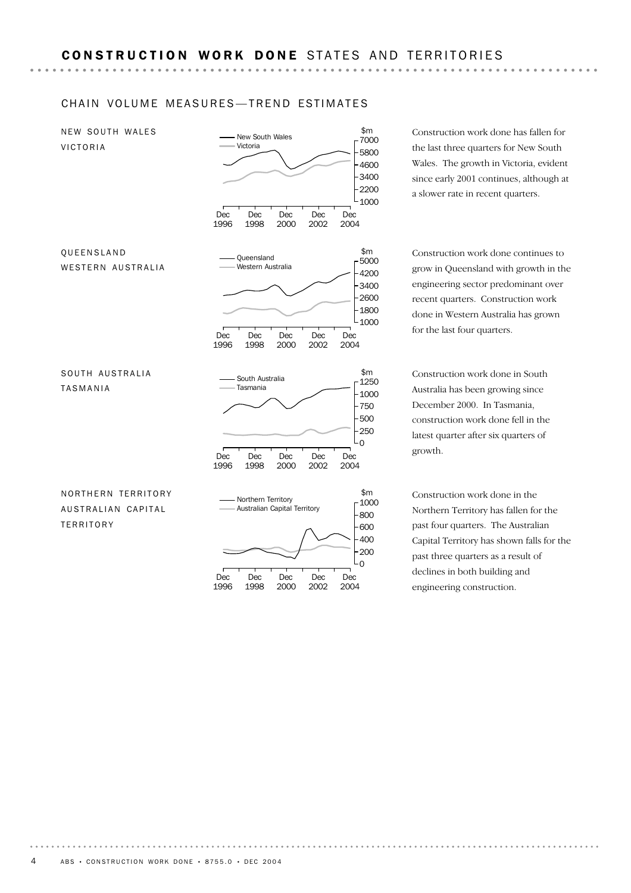#### CHAIN VOLUME MEASURES-TREND ESTIMATES



Construction work done has fallen for the last three quarters for New South Wales. The growth in Victoria, evident since early 2001 continues, although at a slower rate in recent quarters.

Construction work done continues to grow in Queensland with growth in the engineering sector predominant over recent quarters. Construction work done in Western Australia has grown

Construction work done in South Australia has been growing since December 2000. In Tasmania, construction work done fell in the latest quarter after six quarters of

Construction work done in the Northern Territory has fallen for the past four quarters. The Australian Capital Territory has shown falls for the past three quarters as a result of declines in both building and engineering construction.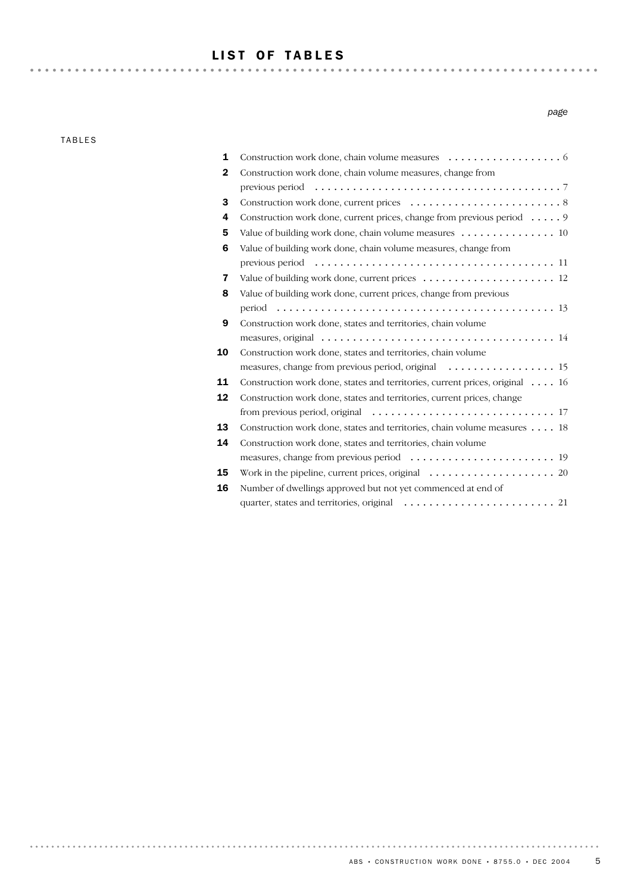## LIST OF TABLES

TABLES

| 1            |                                                                                                              |
|--------------|--------------------------------------------------------------------------------------------------------------|
| $\mathbf{2}$ | Construction work done, chain volume measures, change from                                                   |
|              | previous period $\ldots \ldots \ldots \ldots \ldots \ldots \ldots \ldots \ldots \ldots \ldots \ldots \ldots$ |
| 3            |                                                                                                              |
| 4            | Construction work done, current prices, change from previous period 9                                        |
| 5            | Value of building work done, chain volume measures 10                                                        |
| 6            | Value of building work done, chain volume measures, change from                                              |
|              |                                                                                                              |
| 7            | Value of building work done, current prices $\dots \dots \dots \dots \dots \dots \dots \dots$                |
| 8            | Value of building work done, current prices, change from previous                                            |
|              |                                                                                                              |
| 9            | Construction work done, states and territories, chain volume                                                 |
|              | measures, original $\ldots \ldots \ldots \ldots \ldots \ldots \ldots \ldots \ldots \ldots \ldots$            |
| 10           | Construction work done, states and territories, chain volume                                                 |
|              |                                                                                                              |
| 11           | Construction work done, states and territories, current prices, original 16                                  |
| 12           | Construction work done, states and territories, current prices, change                                       |
|              |                                                                                                              |
| 13           | Construction work done, states and territories, chain volume measures 18                                     |
| 14           | Construction work done, states and territories, chain volume                                                 |
|              |                                                                                                              |
| 15           |                                                                                                              |
| 16           | Number of dwellings approved but not yet commenced at end of                                                 |
|              |                                                                                                              |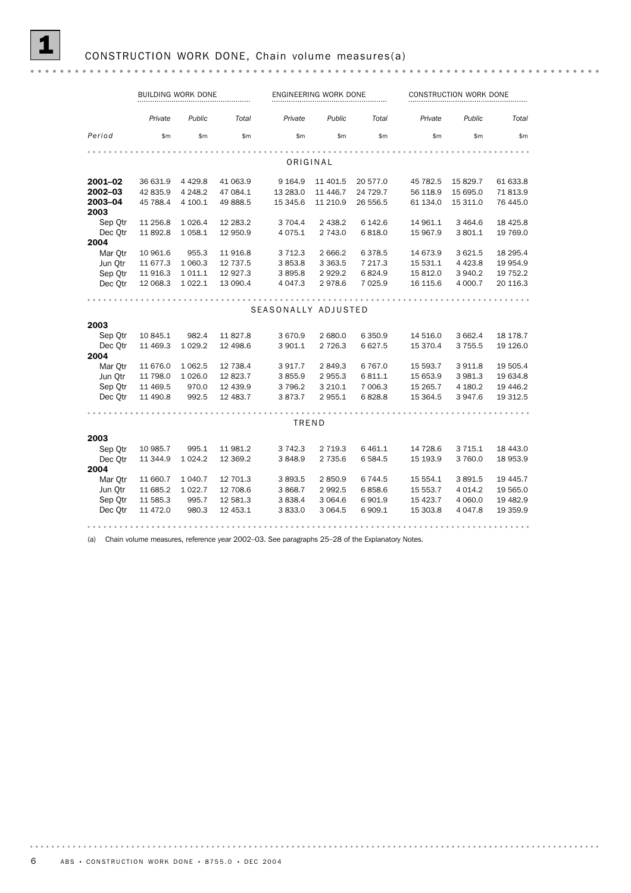|                 | <b>BUILDING WORK DONE</b> |           |          |                     | ENGINEERING WORK DONE |           |           | CONSTRUCTION WORK DONE |           |  |
|-----------------|---------------------------|-----------|----------|---------------------|-----------------------|-----------|-----------|------------------------|-----------|--|
|                 | Private                   | Public    | Total    | Private             | Public                | Total     | Private   | Public                 | Total     |  |
| Period          | \$m\$                     | \$m       | \$m      | \$m\$               | \$m                   | \$m\$     | \$m       | \$m                    | \$m       |  |
|                 |                           |           |          |                     |                       |           |           |                        |           |  |
|                 |                           |           |          | ORIGINAL            |                       |           |           |                        |           |  |
| 2001-02         | 36 631.9                  | 4 4 2 9.8 | 41 063.9 | 9 1 64.9            | 11 401.5              | 20 577.0  | 45 782.5  | 15 829.7               | 61 633.8  |  |
| 2002-03         | 42 835.9                  | 4 2 4 8.2 | 47 084.1 | 13 283.0            | 11 446.7              | 24 729.7  | 56 118.9  | 15 695.0               | 71 813.9  |  |
| 2003-04<br>2003 | 45 788.4                  | 4 100.1   | 49 888.5 | 15 345.6            | 11 210.9              | 26 556.5  | 61 134.0  | 15 311.0               | 76 445.0  |  |
| Sep Otr         | 11 256.8                  | 1 0 26.4  | 12 283.2 | 3 704.4             | 2 4 3 8.2             | 6 142.6   | 14 961.1  | 3 4 64.6               | 18 4 25.8 |  |
| Dec Otr         | 11 892.8                  | 1 0 58.1  | 12 950.9 | 4 0 7 5 . 1         | 2 743.0               | 6818.0    | 15 967.9  | 3 801.1                | 19 769.0  |  |
| 2004            |                           |           |          |                     |                       |           |           |                        |           |  |
| Mar Otr         | 10 961.6                  | 955.3     | 11 916.8 | 3 7 1 2.3           | 2 6 6 6.2             | 6378.5    | 14 673.9  | 3 621.5                | 18 295.4  |  |
| Jun Qtr         | 11 677.3                  | 1 060.3   | 12 737.5 | 3853.8              | 3 3 6 3 .5            | 7 217.3   | 15 531.1  | 4 4 2 3.8              | 19 954.9  |  |
| Sep Otr         | 11 916.3                  | 1 0 1 1.1 | 12 927.3 | 3895.8              | 2929.2                | 6824.9    | 15 812.0  | 3 940.2                | 19 752.2  |  |
| Dec Otr         | 12 068.3                  | 1 0 2 2.1 | 13 090.4 | 4 0 4 7 .3          | 2978.6                | 7 0 2 5.9 | 16 115.6  | 4 000.7                | 20 116.3  |  |
|                 |                           |           |          |                     |                       |           |           |                        |           |  |
|                 |                           |           |          | SEASONALLY ADJUSTED |                       |           |           |                        |           |  |
| 2003            |                           |           |          |                     |                       |           |           |                        |           |  |
| Sep Otr         | 10 845.1                  | 982.4     | 11 827.8 | 3670.9              | 2 680.0               | 6 3 5 0.9 | 14 516.0  | 3 662.4                | 18 178.7  |  |
| Dec Otr         | 11 469.3                  | 1 0 29.2  | 12 498.6 | 3 901.1             | 2 7 2 6.3             | 6627.5    | 15 370.4  | 3 7 5 5 . 5            | 19 126.0  |  |
| 2004            |                           |           |          |                     |                       |           |           |                        |           |  |
| Mar Otr         | 11 676.0                  | 1 0 6 2.5 | 12 738.4 | 3917.7              | 2849.3                | 6767.0    | 15 593.7  | 3 911.8                | 19 505.4  |  |
| Jun Otr         | 11 798.0                  | 1 0 26.0  | 12 823.7 | 3855.9              | 2955.3                | 6811.1    | 15 653.9  | 3 981.3                | 19 634.8  |  |
| Sep Otr         | 11 469.5                  | 970.0     | 12 439.9 | 3796.2              | 3 2 1 0.1             | 7 006.3   | 15 265.7  | 4 180.2                | 19 446.2  |  |
| Dec Otr         | 11 490.8                  | 992.5     | 12 483.7 | 3873.7              | 2 955.1               | 6828.8    | 15 3 64.5 | 3 947.6                | 19 312.5  |  |
|                 |                           |           |          |                     |                       |           |           |                        |           |  |
|                 |                           |           |          | TREND               |                       |           |           |                        |           |  |
| 2003            |                           |           |          |                     |                       |           |           |                        |           |  |
| Sep Otr         | 10 985.7                  | 995.1     | 11 981.2 | 3 742.3             | 2 7 1 9.3             | 6 4 6 1.1 | 14 728.6  | 3 7 1 5 . 1            | 18 443.0  |  |
| Dec Qtr         | 11 344.9                  | 1 0 24.2  | 12 369.2 | 3848.9              | 2 735.6               | 6 5 8 4.5 | 15 193.9  | 3 760.0                | 18 953.9  |  |
| 2004            |                           |           |          |                     |                       |           |           |                        |           |  |
| Mar Otr         | 11 660.7                  | 1 040.7   | 12 701.3 | 3893.5              | 2850.9                | 6744.5    | 15 554.1  | 3891.5                 | 19 445.7  |  |
| Jun Otr         | 11 685.2                  | 1 0 2 2.7 | 12 708.6 | 3 868.7             | 2 9 9 2.5             | 6858.6    | 15 553.7  | 4 0 14.2               | 19 565.0  |  |
| Sep Otr         | 11 585.3                  | 995.7     | 12 581.3 | 3838.4              | 3 0 64.6              | 6901.9    | 15 423.7  | 4 0 60.0               | 19 482.9  |  |
| Dec Qtr         | 11 472.0                  | 980.3     | 12 453.1 | 3833.0              | 3 0 64.5              | 6 909.1   | 15 303.8  | 4 047.8                | 19 359.9  |  |
|                 |                           |           |          |                     |                       |           |           |                        |           |  |

(a) Chain volume measures, reference year 2002–03. See paragraphs 25–28 of the Explanatory Notes.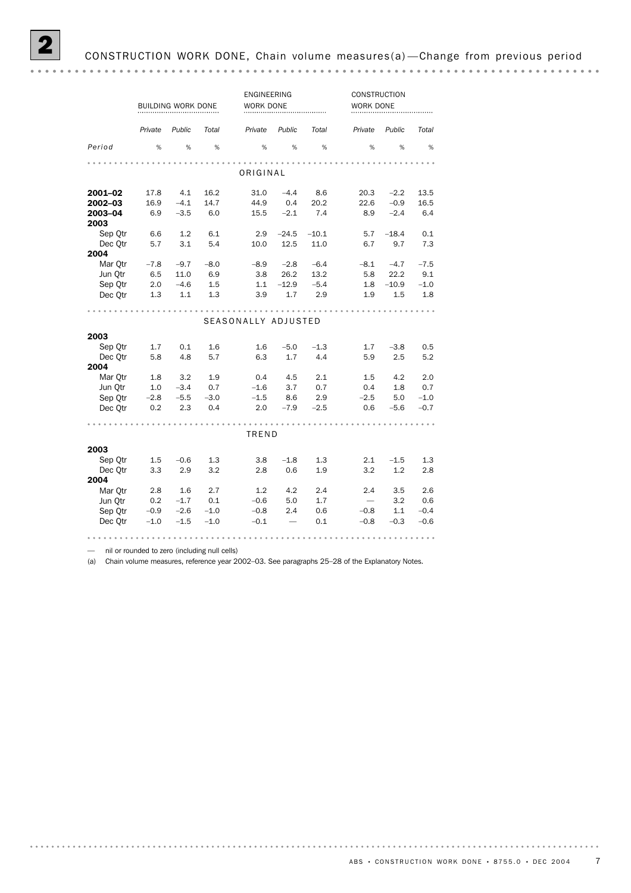|                 |         | BUILDING WORK DONE |        | ENGINEERING<br><b>WORK DONE</b> |         |         | CONSTRUCTION<br>WORK DONE |         |        |
|-----------------|---------|--------------------|--------|---------------------------------|---------|---------|---------------------------|---------|--------|
|                 | Private | Public             | Total  | Private                         | Public  | Total   | Private                   | Public  | Total  |
| Period          | %       | %                  | %      | %                               | %       | %       | %                         | %       | %      |
|                 |         |                    |        | ORIGINAL                        |         |         |                           |         |        |
| 2001-02         | 17.8    | 4.1                | 16.2   | 31.0                            | $-4.4$  | 8.6     | 20.3                      | $-2.2$  | 13.5   |
| 2002-03         | 16.9    | $-4.1$             | 14.7   | 44.9                            | 0.4     | 20.2    | 22.6                      | $-0.9$  | 16.5   |
| 2003-04         | 6.9     | $-3.5$             | 6.0    | 15.5                            | $-2.1$  | 7.4     | 8.9                       | $-2.4$  | 6.4    |
| 2003            |         |                    |        |                                 |         |         |                           |         |        |
| Sep Otr         | 6.6     | 1.2                | 6.1    | 2.9                             | $-24.5$ | $-10.1$ | 5.7                       | $-18.4$ | 0.1    |
| Dec Otr<br>2004 | 5.7     | 3.1                | 5.4    | 10.0                            | 12.5    | 11.0    | 6.7                       | 9.7     | 7.3    |
| Mar Qtr         | $-7.8$  | $-9.7$             | $-8.0$ | $-8.9$                          | $-2.8$  | $-6.4$  | $-8.1$                    | $-4.7$  | $-7.5$ |
| Jun Qtr         | 6.5     | 11.0               | 6.9    | 3.8                             | 26.2    | 13.2    | 5.8                       | 22.2    | 9.1    |
| Sep Qtr         | 2.0     | $-4.6$             | 1.5    | 1.1                             | $-12.9$ | $-5.4$  | 1.8                       | $-10.9$ | $-1.0$ |
| Dec Otr         | 1.3     | 1.1                | 1.3    | 3.9                             | 1.7     | 2.9     | 1.9                       | 1.5     | 1.8    |
|                 |         |                    |        |                                 |         |         |                           |         |        |
|                 |         |                    |        |                                 |         |         |                           |         |        |
|                 |         |                    |        | SEASONALLY ADJUSTED             |         |         |                           |         |        |
| 2003            |         |                    |        |                                 |         |         |                           |         |        |
| Sep Qtr         | 1.7     | 0.1                | 1.6    | 1.6                             | $-5.0$  | $-1.3$  | 1.7                       | $-3.8$  | 0.5    |
| Dec Qtr         | 5.8     | 4.8                | 5.7    | 6.3                             | 1.7     | 4.4     | 5.9                       | 2.5     | 5.2    |
| 2004            |         |                    |        |                                 |         |         |                           |         |        |
| Mar Otr         | 1.8     | 3.2                | 1.9    | 0.4                             | 4.5     | 2.1     | 1.5                       | 4.2     | 2.0    |
| Jun Otr         | 1.0     | $-3.4$             | 0.7    | $-1.6$                          | 3.7     | 0.7     | 0.4                       | 1.8     | 0.7    |
| Sep Otr         | $-2.8$  | $-5.5$             | $-3.0$ | $-1.5$                          | 8.6     | 2.9     | $-2.5$                    | 5.0     | $-1.0$ |
| Dec Qtr         | 0.2     | 2.3                | 0.4    | 2.0                             | $-7.9$  | $-2.5$  | 0.6                       | $-5.6$  | $-0.7$ |
|                 |         |                    |        |                                 |         |         |                           |         |        |
|                 |         |                    |        | TREND                           |         |         |                           |         |        |
| 2003            |         |                    |        |                                 |         |         |                           |         |        |
| Sep Qtr         | 1.5     | $-0.6$             | 1.3    | 3.8                             | $-1.8$  | 1.3     | 2.1                       | $-1.5$  | 1.3    |
| Dec Otr         | 3.3     | 2.9                | 3.2    | 2.8                             | 0.6     | 1.9     | 3.2                       | 1.2     | 2.8    |
| 2004            |         |                    |        |                                 |         |         |                           |         |        |
| Mar Qtr         | 2.8     | 1.6                | 2.7    | 1.2                             | 4.2     | 2.4     | 2.4                       | 3.5     | 2.6    |
| Jun Otr         | 0.2     | $-1.7$             | 0.1    | $-0.6$                          | 5.0     | 1.7     | $\overline{\phantom{0}}$  | 3.2     | 0.6    |
| Sep Otr         | $-0.9$  | $-2.6$             | $-1.0$ | $-0.8$                          | 2.4     | 0.6     | $-0.8$                    | 1.1     | $-0.4$ |
| Dec Otr         | $-1.0$  | $-1.5$             | $-1.0$ | $-0.1$                          |         | 0.1     | $-0.8$                    | $-0.3$  | $-0.6$ |
|                 |         |                    |        |                                 |         |         |                           |         |        |

— nil or rounded to zero (including null cells)

(a) Chain volume measures, reference year 2002–03. See paragraphs 25–28 of the Explanatory Notes.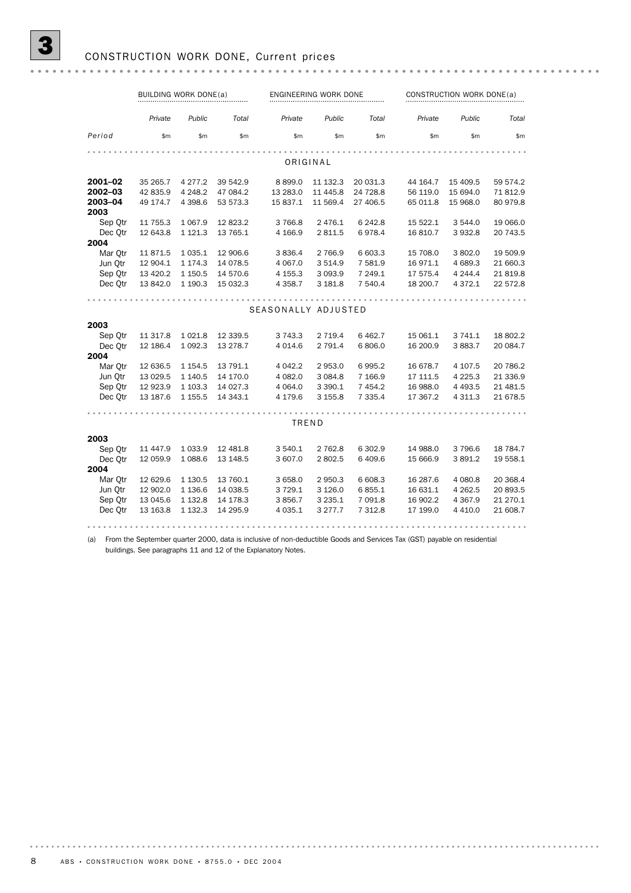|                 | BUILDING WORK DONE(a) |             |          |                     | ENGINEERING WORK DONE |           |          | CONSTRUCTION WORK DONE(a) |          |  |
|-----------------|-----------------------|-------------|----------|---------------------|-----------------------|-----------|----------|---------------------------|----------|--|
|                 | Private               | Public      | Total    | Private             | Public                | Total     | Private  | Public                    | Total    |  |
| Period          | \$m                   | \$m         | \$m      | \$m                 | \$m                   | \$m       | \$m      | \$m\$                     | \$m\$    |  |
|                 |                       |             |          |                     |                       |           |          |                           |          |  |
|                 |                       |             |          |                     | ORIGINAL              |           |          |                           |          |  |
| 2001-02         | 35 265.7              | 4 2 7 7 . 2 | 39 542.9 | 8 8 9 9.0           | 11 132.3              | 20 031.3  | 44 164.7 | 15 409.5                  | 59 574.2 |  |
| 2002-03         | 42 835.9              | 4 2 4 8.2   | 47 084.2 | 13 283.0            | 11 445.8              | 24 728.8  | 56 119.0 | 15 694.0                  | 71 812.9 |  |
| 2003-04<br>2003 | 49 174.7              | 4 3 9 8.6   | 53 573.3 | 15 837.1            | 11 569.4              | 27 406.5  | 65 011.8 | 15 968.0                  | 80 979.8 |  |
| Sep Otr         | 11 755.3              | 1 0 6 7 .9  | 12823.2  | 3 7 6 6.8           | 2 4 7 6.1             | 6 24 2.8  | 15 522.1 | 3 544.0                   | 19 066.0 |  |
| Dec Otr         | 12 643.8              | 1 1 2 1 . 3 | 13 765.1 | 4 166.9             | 2 811.5               | 6978.4    | 16 810.7 | 3 9 3 2.8                 | 20 743.5 |  |
| 2004            |                       |             |          |                     |                       |           |          |                           |          |  |
| Mar Qtr         | 11871.5               | 1 0 3 5.1   | 12 906.6 | 3 8 3 6.4           | 2 7 6 6.9             | 6 603.3   | 15 708.0 | 3 802.0                   | 19 509.9 |  |
| Jun Otr         | 12 904.1              | 1 174.3     | 14 078.5 | 4 0 67.0            | 3 5 1 4.9             | 7 581.9   | 16 971.1 | 4 689.3                   | 21 660.3 |  |
| Sep Qtr         | 13 4 20.2             | 1 150.5     | 14 570.6 | 4 155.3             | 3 0 9 3.9             | 7 249.1   | 17 575.4 | 4 244.4                   | 21819.8  |  |
| Dec Otr         | 13 842.0              | 1 190.3     | 15 032.3 | 4 3 5 8.7           | 3 181.8               | 7 540.4   | 18 200.7 | 4 3 7 2 . 1               | 22 572.8 |  |
|                 |                       |             |          |                     |                       |           |          |                           |          |  |
|                 |                       |             |          | SEASONALLY ADJUSTED |                       |           |          |                           |          |  |
| 2003            |                       |             |          |                     |                       |           |          |                           |          |  |
| Sep Qtr         | 11 317.8              | 1 0 2 1.8   | 12 339.5 | 3 743.3             | 2 7 1 9.4             | 6462.7    | 15 061.1 | 3 741.1                   | 18 802.2 |  |
| Dec Otr         | 12 186.4              | 1 0 9 2.3   | 13 278.7 | 4 0 14.6            | 2 791.4               | 6806.0    | 16 200.9 | 3883.7                    | 20 084.7 |  |
| 2004            |                       |             |          |                     |                       |           |          |                           |          |  |
| Mar Otr         | 12 636.5              | 1 1 5 4 . 5 | 13 791.1 | 4 042.2             | 2 953.0               | 6995.2    | 16 678.7 | 4 107.5                   | 20 786.2 |  |
| Jun Otr         | 13 0 29.5             | 1 140.5     | 14 170.0 | 4 082.0             | 3 0 8 4 . 8           | 7 166.9   | 17 111.5 | 4 2 2 5 . 3               | 21 336.9 |  |
| Sep Otr         | 12 923.9              | 1 103.3     | 14 027.3 | 4 0 64.0            | 3 3 9 0.1             | 7 4 5 4.2 | 16 988.0 | 4 4 9 3.5                 | 21 481.5 |  |
| Dec Otr         | 13 187.6              | 1 1 5 5.5   | 14 343.1 | 4 179.6             | 3 155.8               | 7 3 3 5.4 | 17 367.2 | 4 3 1 1.3                 | 21 678.5 |  |
|                 |                       |             |          |                     |                       |           |          |                           |          |  |
|                 |                       |             |          | TREND               |                       |           |          |                           |          |  |
| 2003            |                       |             |          |                     |                       |           |          |                           |          |  |
| Sep Otr         | 11 447.9              | 1 0 3 3.9   | 12 481.8 | 3 540.1             | 2 762.8               | 6 302.9   | 14 988.0 | 3796.6                    | 18 784.7 |  |
| Dec Otr         | 12 059.9              | 1088.6      | 13 148.5 | 3 607.0             | 2 802.5               | 6 409.6   | 15 666.9 | 3891.2                    | 19 558.1 |  |
| 2004            |                       |             |          |                     |                       |           |          |                           |          |  |
| Mar Otr         | 12 629.6              | 1 1 3 0.5   | 13 760.1 | 3 658.0             | 2 950.3               | 6 608.3   | 16 287.6 | 4 080.8                   | 20 368.4 |  |
| Jun Otr         | 12 902.0              | 1 1 36.6    | 14 038.5 | 3 7 2 9.1           | 3 1 2 6 .0            | 6855.1    | 16 631.1 | 4 2 6 2.5                 | 20 893.5 |  |
| Sep Otr         | 13 045.6              | 1 1 3 2.8   | 14 178.3 | 3856.7              | 3 2 3 5 . 1           | 7 091.8   | 16 902.2 | 4 3 6 7 .9                | 21 270.1 |  |
| Dec Otr         | 13 163.8              | 1 1 3 2.3   | 14 295.9 | 4 0 35.1            | 3 277.7               | 7 3 1 2.8 | 17 199.0 | 4 4 1 0.0                 | 21 608.7 |  |
|                 |                       |             |          |                     |                       |           |          |                           |          |  |

(a) From the September quarter 2000, data is inclusive of non-deductible Goods and Services Tax (GST) payable on residential buildings. See paragraphs 11 and 12 of the Explanatory Notes.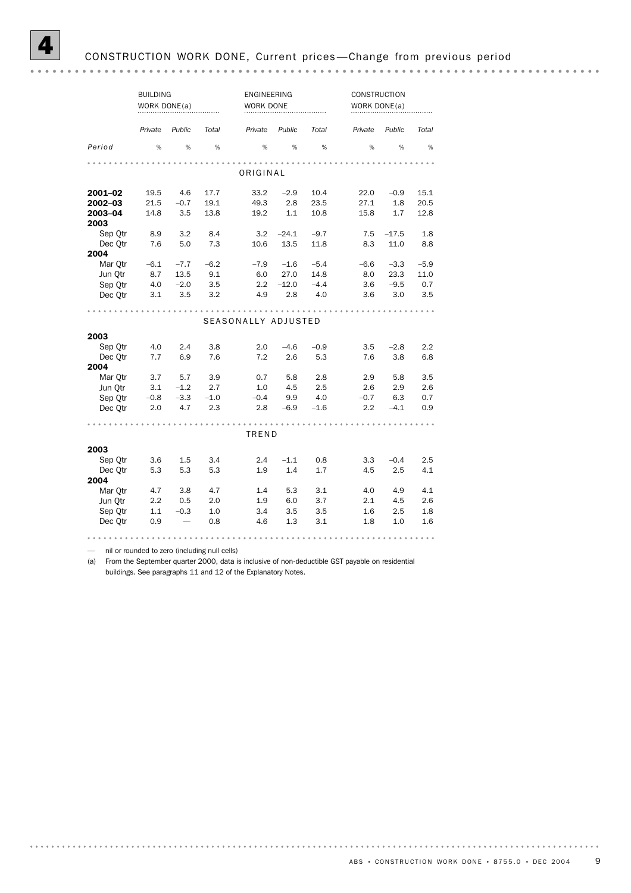|                                          | <b>BUILDING</b><br>WORK DONE(a) |                                                  |                             | ENGINEERING<br>WORK DONE    |                                  |                                 | CONSTRUCTION<br>WORK DONE(a) |                                 |                              |
|------------------------------------------|---------------------------------|--------------------------------------------------|-----------------------------|-----------------------------|----------------------------------|---------------------------------|------------------------------|---------------------------------|------------------------------|
|                                          | Private                         | Public                                           | Total                       | Private                     | Public                           | Total                           | Private                      | Public                          | Total                        |
| Period                                   | %                               | %                                                | $\%$                        | %                           | %                                | $\%$                            | %                            | %                               | %                            |
|                                          |                                 |                                                  |                             | ORIGINAL                    |                                  |                                 |                              |                                 |                              |
| 2001-02<br>2002-03                       | 19.5<br>21.5                    | 4.6<br>$-0.7$                                    | 17.7<br>19.1                | 33.2<br>49.3                | $-2.9$<br>2.8                    | 10.4<br>23.5                    | 22.0<br>27.1                 | $-0.9$<br>1.8                   | 15.1<br>20.5                 |
| 2003-04<br>2003                          | 14.8                            | 3.5                                              | 13.8                        | 19.2                        | 1.1                              | 10.8                            | 15.8                         | 1.7                             | 12.8                         |
| Sep Qtr<br>Dec Otr<br>2004               | 8.9<br>7.6                      | 3.2<br>5.0                                       | 8.4<br>7.3                  | 3.2<br>10.6                 | $-24.1$<br>13.5                  | $-9.7$<br>11.8                  | 7.5<br>8.3                   | $-17.5$<br>11.0                 | 1.8<br>8.8                   |
| Mar Qtr<br>Jun Otr<br>Sep Otr<br>Dec Qtr | $-6.1$<br>8.7<br>4.0<br>3.1     | $-7.7$<br>13.5<br>$-2.0$<br>3.5                  | $-6.2$<br>9.1<br>3.5<br>3.2 | $-7.9$<br>6.0<br>2.2<br>4.9 | $-1.6$<br>27.0<br>$-12.0$<br>2.8 | $-5.4$<br>14.8<br>$-4.4$<br>4.0 | $-6.6$<br>8.0<br>3.6<br>3.6  | $-3.3$<br>23.3<br>$-9.5$<br>3.0 | $-5.9$<br>11.0<br>0.7<br>3.5 |
|                                          |                                 |                                                  |                             | SEASONALLY ADJUSTED         |                                  |                                 |                              |                                 |                              |
| 2003                                     |                                 |                                                  |                             |                             |                                  |                                 |                              |                                 |                              |
| Sep Qtr<br>Dec Otr<br>2004               | 4.0<br>7.7                      | 2.4<br>6.9                                       | 3.8<br>7.6                  | 2.0<br>7.2                  | $-4.6$<br>2.6                    | $-0.9$<br>5.3                   | 3.5<br>7.6                   | $-2.8$<br>3.8                   | 2.2<br>6.8                   |
| Mar Otr<br>Jun Otr<br>Sep Otr<br>Dec Otr | 3.7<br>3.1<br>$-0.8$<br>2.0     | 5.7<br>$-1.2$<br>$-3.3$<br>4.7                   | 3.9<br>2.7<br>$-1.0$<br>2.3 | 0.7<br>1.0<br>$-0.4$<br>2.8 | 5.8<br>4.5<br>9.9<br>$-6.9$      | 2.8<br>2.5<br>4.0<br>$-1.6$     | 2.9<br>2.6<br>$-0.7$<br>2.2  | 5.8<br>2.9<br>6.3<br>$-4.1$     | 3.5<br>2.6<br>0.7<br>0.9     |
|                                          |                                 |                                                  |                             | TREND                       |                                  |                                 |                              |                                 |                              |
| 2003<br>Sep Qtr<br>Dec Otr<br>2004       | 3.6<br>5.3                      | 1.5<br>5.3                                       | 3.4<br>5.3                  | 2.4<br>1.9                  | $-1.1$<br>1.4                    | 0.8<br>1.7                      | 3.3<br>4.5                   | $-0.4$<br>2.5                   | 2.5<br>4.1                   |
| Mar Qtr<br>Jun Qtr<br>Sep Otr<br>Dec Qtr | 4.7<br>2.2<br>1.1<br>0.9        | 3.8<br>0.5<br>$-0.3$<br>$\overline{\phantom{0}}$ | 4.7<br>2.0<br>1.0<br>0.8    | 1.4<br>1.9<br>3.4<br>4.6    | 5.3<br>6.0<br>3.5<br>1.3         | 3.1<br>3.7<br>3.5<br>3.1        | 4.0<br>2.1<br>1.6<br>1.8     | 4.9<br>4.5<br>2.5<br>1.0        | 4.1<br>2.6<br>1.8<br>1.6     |

— nil or rounded to zero (including null cells)

(a) From the September quarter 2000, data is inclusive of non-deductible GST payable on residential buildings. See paragraphs 11 and 12 of the Explanatory Notes.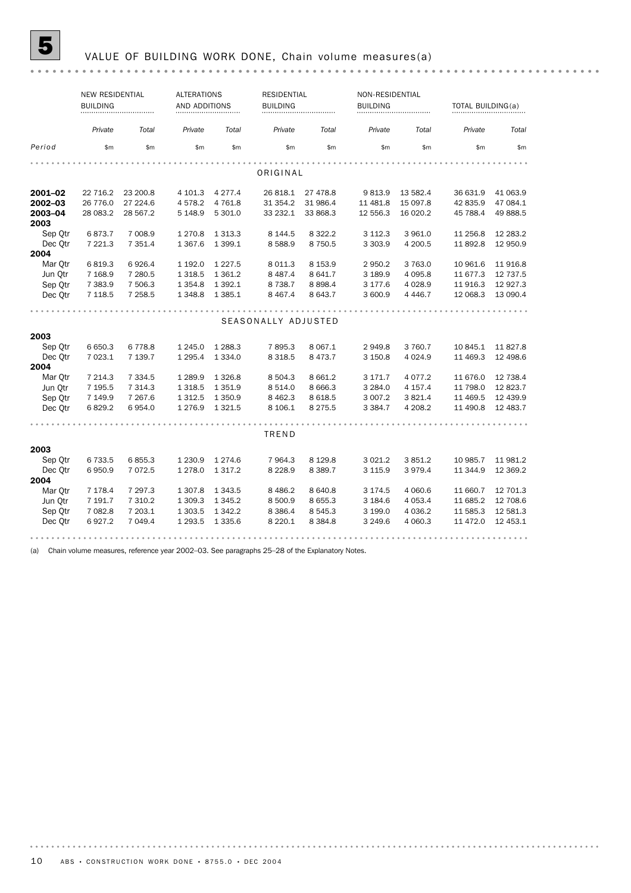# 5 VALUE OF BUILDING WORK DONE, Chain volume measures(a)

|         | <b>NEW RESIDENTIAL</b><br><b>BUILDING</b> |             | <b>ALTERATIONS</b><br>AND ADDITIONS |             | <b>RESIDENTIAL</b><br><b>BUILDING</b> |             | NON-RESIDENTIAL<br><b>BUILDING</b> |            | TOTAL BUILDING(a) |           |
|---------|-------------------------------------------|-------------|-------------------------------------|-------------|---------------------------------------|-------------|------------------------------------|------------|-------------------|-----------|
|         | Private                                   | Total       | Private                             | Total       | Private                               | Total       | Private                            | Total      | Private           | Total     |
| Period  | \$m                                       | \$m         | \$m                                 | \$m         | \$m                                   | \$m         | \$m                                | \$m        | \$m               | \$m       |
|         |                                           |             |                                     |             | ORIGINAL                              |             |                                    |            |                   |           |
| 2001-02 | 22 716.2                                  | 23 200.8    | 4 101.3                             | 4 2 7 7 . 4 | 26 818.1                              | 27 478.8    | 9813.9                             | 13 582.4   | 36 631.9          | 41 063.9  |
| 2002-03 | 26 776.0                                  | 27 224.6    | 4578.2                              | 4 7 6 1.8   | 31 354.2                              | 31 986.4    | 11 481.8                           | 15 097.8   | 42 835.9          | 47 084.1  |
| 2003-04 | 28 083.2                                  | 28 567.2    | 5 148.9                             | 5 301.0     | 33 232.1                              | 33 868.3    | 12 556.3                           | 16 020.2   | 45 788.4          | 49 888.5  |
| 2003    |                                           |             |                                     |             |                                       |             |                                    |            |                   |           |
| Sep Otr | 6873.7                                    | 7 008.9     | 1 2 7 0.8                           | 1 3 1 3 . 3 | 8 1 4 4 .5                            | 8 3 2 2.2   | 3 1 1 2.3                          | 3 961.0    | 11 256.8          | 12 283.2  |
| Dec Otr | 7 221.3                                   | 7 351.4     | 1 3 6 7 . 6                         | 1 3 9 9.1   | 8588.9                                | 8 7 5 0.5   | 3 3 0 3.9                          | 4 200.5    | 11 892.8          | 12 950.9  |
| 2004    |                                           |             |                                     |             |                                       |             |                                    |            |                   |           |
| Mar Otr | 6819.3                                    | 6926.4      | 1 192.0                             | 1 2 2 7 .5  | 8 0 1 1.3                             | 8 1 5 3.9   | 2950.2                             | 3 763.0    | 10 961.6          | 11 916.8  |
| Jun Otr | 7 1 68.9                                  | 7 280.5     | 1 3 1 8.5                           | 1 3 6 1 . 2 | 8 4 8 7 . 4                           | 8 641.7     | 3 189.9                            | 4 0 9 5.8  | 11 677.3          | 12 737.5  |
| Sep Otr | 7 383.9                                   | 7 506.3     | 1 3 5 4.8                           | 1 3 9 2.1   | 8 7 3 8.7                             | 8 8 9 8.4   | 3 177.6                            | 4 0 28.9   | 11916.3           | 12 9 27.3 |
| Dec Otr | 7 1 18.5                                  | 7 258.5     | 1 3 4 8.8                           | 1 3 8 5 . 1 | 8 4 6 7.4                             | 8 643.7     | 3 600.9                            | 4 4 4 6 .7 | 12 068.3          | 13 090.4  |
|         |                                           |             |                                     |             |                                       |             |                                    |            |                   |           |
|         |                                           |             |                                     |             | SEASONALLY ADJUSTED                   |             |                                    |            |                   |           |
| 2003    |                                           |             |                                     |             |                                       |             |                                    |            |                   |           |
| Sep Otr | 6 650.3                                   | 6778.8      | 1 2 4 5 .0                          | 1 2 8 8.3   | 7895.3                                | 8 0 67.1    | 2949.8                             | 3 760.7    | 10 845.1          | 11 827.8  |
| Dec Otr | 7 023.1                                   | 7 139.7     | 1 2 9 5.4                           | 1 3 3 4 . 0 | 8 3 1 8 .5                            | 8 4 7 3 . 7 | 3 150.8                            | 4 0 24.9   | 11 469.3          | 12 498.6  |
| 2004    |                                           |             |                                     |             |                                       |             |                                    |            |                   |           |
| Mar Otr | 7 214.3                                   | 7 3 3 4.5   | 1 2 8 9.9                           | 1 3 2 6.8   | 8 504.3                               | 8 6 6 1.2   | 3 171.7                            | 4 0 7 7 .2 | 11 676.0          | 12 738.4  |
| Jun Qtr | 7 195.5                                   | 7 3 1 4 . 3 | 1 3 1 8.5                           | 1 3 5 1 . 9 | 8 5 1 4 .0                            | 8 6 66.3    | 3 2 8 4 . 0                        | 4 157.4    | 11 798.0          | 12 823.7  |
| Sep Otr | 7 149.9                                   | 7 267.6     | 1 3 1 2.5                           | 1 3 5 0.9   | 8 4 6 2.3                             | 8 6 18.5    | 3 007.2                            | 3 8 2 1.4  | 11 469.5          | 12 439.9  |
| Dec Otr | 6829.2                                    | 6954.0      | 1 276.9                             | 1 3 2 1.5   | 8 106.1                               | 8 2 7 5 . 5 | 3 3 8 4.7                          | 4 208.2    | 11 490.8          | 12 483.7  |
|         |                                           |             |                                     |             |                                       |             |                                    |            |                   |           |
|         |                                           |             |                                     |             | TREND                                 |             |                                    |            |                   |           |
| 2003    |                                           |             |                                     |             |                                       |             |                                    |            |                   |           |
| Sep Otr | 6 733.5                                   | 6855.3      | 1 2 3 0.9                           | 1 2 7 4 . 6 | 7 9 64.3                              | 8 1 2 9.8   | 3 0 2 1.2                          | 3851.2     | 10 985.7          | 11 981.2  |
| Dec Otr | 6950.9                                    | 7 0 7 2.5   | 1 278.0                             | 1 3 1 7 . 2 | 8 2 2 8 .9                            | 8 3 8 9.7   | 3 1 1 5.9                          | 3979.4     | 11 344.9          | 12 369.2  |
| 2004    |                                           |             |                                     |             |                                       |             |                                    |            |                   |           |
| Mar Otr | 7 178.4                                   | 7 297.3     | 1 307.8                             | 1 3 4 3 .5  | 8 4 8 6.2                             | 8 640.8     | 3 174.5                            | 4 0 6 0.6  | 11 660.7          | 12 701.3  |
| Jun Qtr | 7 191.7                                   | 7 310.2     | 1 309.3                             | 1 3 4 5 . 2 | 8 500.9                               | 8 6 5 5.3   | 3 184.6                            | 4 0 5 3.4  | 11 685.2          | 12 708.6  |
| Sep Otr | 7 082.8                                   | 7 203.1     | 1 303.5                             | 1 3 4 2.2   | 8 3 8 6.4                             | 8 5 4 5 . 3 | 3 199.0                            | 4 0 36.2   | 11 585.3          | 12 581.3  |
| Dec Qtr | 6927.2                                    | 7 049.4     | 1 2 9 3.5                           | 1 3 3 5 . 6 | 8 2 2 0.1                             | 8 3 8 4.8   | 3 2 4 9.6                          | 4 0 6 0.3  | 11 472.0          | 12 453.1  |

(a) Chain volume measures, reference year 2002–03. See paragraphs 25–28 of the Explanatory Notes.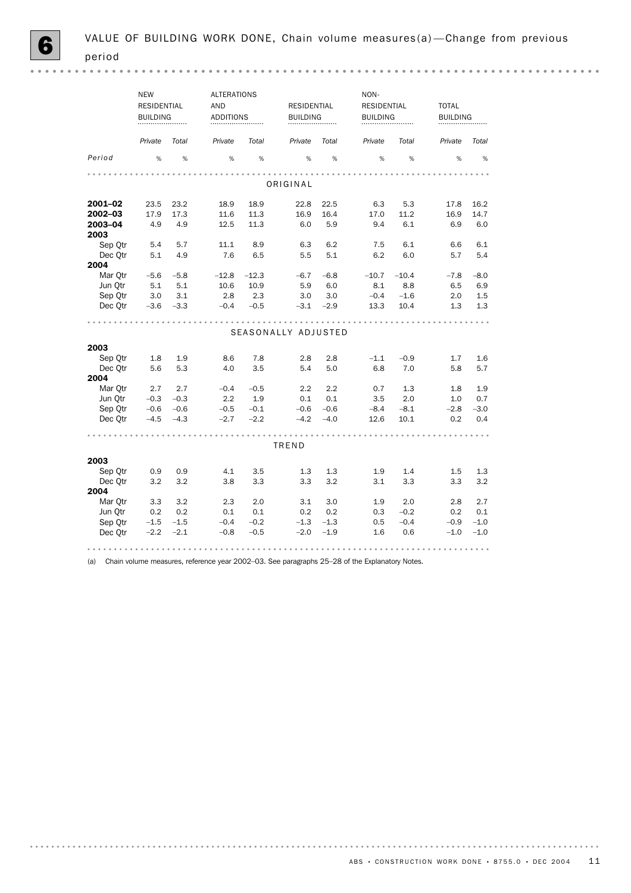|        | <b>NEW</b> | <b>RESIDENTIAL</b><br><b>BUILDING</b><br> |         | <b>ALTERATIONS</b><br>AND<br><b>ADDITIONS</b><br> |         | <b>RESIDENTIAL</b><br><b>BUILDING</b><br> |         | NON-<br><b>RESIDENTIAL</b><br><b>BUILDING</b><br> |         | <b>TOTAL</b><br><b>BUILDING</b><br> |  |
|--------|------------|-------------------------------------------|---------|---------------------------------------------------|---------|-------------------------------------------|---------|---------------------------------------------------|---------|-------------------------------------|--|
|        | Private    | Total                                     | Private | Total                                             | Private | Total                                     | Private | Total                                             | Private | Total                               |  |
| Period | %          | %                                         | %       | %                                                 | %       | %                                         | %       | %                                                 | %       | %                                   |  |

 $\begin{array}{cccccccccccccc} \bullet & \bullet & \bullet & \bullet & \bullet & \bullet & \bullet & \bullet & \bullet & \bullet & \bullet \end{array}$ 

| ORIGINAL |        |        |         |         |                     |        |         |         |        |        |  |
|----------|--------|--------|---------|---------|---------------------|--------|---------|---------|--------|--------|--|
| 2001-02  | 23.5   | 23.2   | 18.9    | 18.9    | 22.8                | 22.5   | 6.3     | 5.3     | 17.8   | 16.2   |  |
| 2002-03  | 17.9   | 17.3   | 11.6    | 11.3    | 16.9                | 16.4   | 17.0    | 11.2    | 16.9   | 14.7   |  |
| 2003-04  | 4.9    | 4.9    | 12.5    | 11.3    | 6.0                 | 5.9    | 9.4     | 6.1     | 6.9    | 6.0    |  |
| 2003     |        |        |         |         |                     |        |         |         |        |        |  |
| Sep Qtr  | 5.4    | 5.7    | 11.1    | 8.9     | 6.3                 | 6.2    | 7.5     | 6.1     | 6.6    | 6.1    |  |
| Dec Otr  | 5.1    | 4.9    | 7.6     | 6.5     | 5.5                 | 5.1    | 6.2     | 6.0     | 5.7    | 5.4    |  |
| 2004     |        |        |         |         |                     |        |         |         |        |        |  |
| Mar Otr  | $-5.6$ | $-5.8$ | $-12.8$ | $-12.3$ | $-6.7$              | $-6.8$ | $-10.7$ | $-10.4$ | $-7.8$ | $-8.0$ |  |
| Jun Otr  | 5.1    | 5.1    | 10.6    | 10.9    | 5.9                 | 6.0    | 8.1     | 8.8     | 6.5    | 6.9    |  |
| Sep Otr  | 3.0    | 3.1    | 2.8     | 2.3     | 3.0                 | 3.0    | $-0.4$  | $-1.6$  | 2.0    | 1.5    |  |
| Dec Otr  | $-3.6$ | $-3.3$ | $-0.4$  | $-0.5$  | $-3.1$              | $-2.9$ | 13.3    | 10.4    | 1.3    | 1.3    |  |
|          |        |        |         |         |                     |        |         |         |        |        |  |
|          |        |        |         |         | SEASONALLY ADJUSTED |        |         |         |        |        |  |
|          |        |        |         |         |                     |        |         |         |        |        |  |
| 2003     |        |        |         |         |                     |        |         |         |        |        |  |
| Sep Otr  | 1.8    | 1.9    | 8.6     | 7.8     | 2.8                 | 2.8    | $-1.1$  | $-0.9$  | 1.7    | 1.6    |  |
| Dec Otr  | 5.6    | 5.3    | 4.0     | 3.5     | 5.4                 | 5.0    | 6.8     | 7.0     | 5.8    | 5.7    |  |
| 2004     |        |        |         |         |                     |        |         |         |        |        |  |
| Mar Otr  | 2.7    | 2.7    | $-0.4$  | $-0.5$  | 2.2                 | 2.2    | 0.7     | 1.3     | 1.8    | 1.9    |  |
| Jun Otr  | $-0.3$ | $-0.3$ | 2.2     | 1.9     | 0.1                 | 0.1    | 3.5     | 2.0     | 1.0    | 0.7    |  |
| Sep Qtr  | $-0.6$ | $-0.6$ | $-0.5$  | $-0.1$  | $-0.6$              | $-0.6$ | $-8.4$  | $-8.1$  | $-2.8$ | $-3.0$ |  |
| Dec Otr  | $-4.5$ | $-4.3$ | $-2.7$  | $-2.2$  | $-4.2$              | $-4.0$ | 12.6    | 10.1    | 0.2    | 0.4    |  |
|          |        |        |         |         |                     |        |         |         |        |        |  |
|          |        |        |         |         | TREND               |        |         |         |        |        |  |
| 2003     |        |        |         |         |                     |        |         |         |        |        |  |
| Sep Otr  | 0.9    | 0.9    | 4.1     | 3.5     | 1.3                 | 1.3    | 1.9     | 1.4     | 1.5    | 1.3    |  |
| Dec Otr  | 3.2    | 3.2    | 3.8     | 3.3     | 3.3                 | 3.2    | 3.1     | 3.3     | 3.3    | 3.2    |  |
| 2004     |        |        |         |         |                     |        |         |         |        |        |  |
| Mar Qtr  | 3.3    | 3.2    | 2.3     | 2.0     | 3.1                 | 3.0    | 1.9     | 2.0     | 2.8    | 2.7    |  |
| Jun Otr  | 0.2    | 0.2    | 0.1     | 0.1     | 0.2                 | 0.2    | 0.3     | $-0.2$  | 0.2    | 0.1    |  |
| Sep Otr  | $-1.5$ | $-1.5$ | $-0.4$  | $-0.2$  | $-1.3$              | $-1.3$ | 0.5     | $-0.4$  | $-0.9$ | $-1.0$ |  |
| Dec Qtr  | $-2.2$ | $-2.1$ | $-0.8$  | $-0.5$  | $-2.0$              | $-1.9$ | 1.6     | 0.6     | $-1.0$ | $-1.0$ |  |
|          |        |        |         |         |                     |        |         |         |        |        |  |

(a) Chain volume measures, reference year 2002–03. See paragraphs 25–28 of the Explanatory Notes.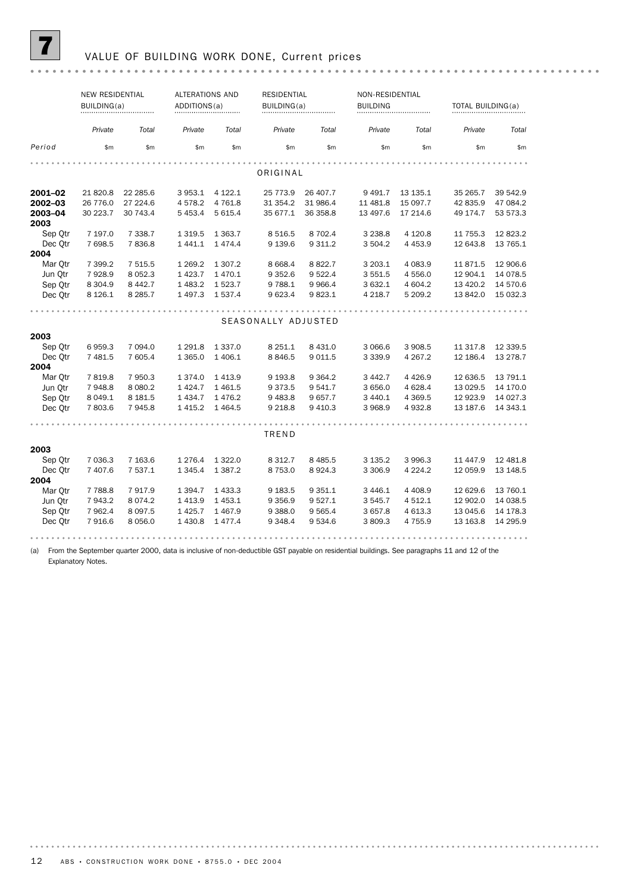

### 7 VALUE OF BUILDING WORK DONE, Current prices

|                    | <b>NEW RESIDENTIAL</b><br>BUILDING(a) |                     | <b>ALTERATIONS AND</b><br>ADDITIONS(a) |                     | <b>RESIDENTIAL</b><br>BUILDING(a) |                      | <b>BUILDING</b> | NON-RESIDENTIAL        |                      | TOTAL BUILDING(a) |
|--------------------|---------------------------------------|---------------------|----------------------------------------|---------------------|-----------------------------------|----------------------|-----------------|------------------------|----------------------|-------------------|
|                    | Private                               | Total               | Private                                | Total               | Private                           | Total                | Private         | Total                  | Private              | Total             |
| Period             | \$m                                   | \$m                 | \$m                                    | \$m                 | \$m\$                             | \$m                  | \$m             | \$m                    | \$m                  | \$m               |
|                    |                                       |                     |                                        |                     | ORIGINAL                          |                      |                 |                        |                      |                   |
|                    |                                       |                     |                                        |                     |                                   |                      |                 |                        |                      |                   |
| 2001-02            | 21 820.8                              | 22 285.6            | 3953.1                                 | 4 1 2 2.1           | 25 773.9                          | 26 407.7             | 9 4 9 1.7       | 13 135.1               | 35 265.7             | 39 542.9          |
| 2002-03            | 26 776.0                              | 27 224.6            | 4578.2                                 | 4 7 6 1.8           | 31 354.2                          | 31 986.4             | 11 481.8        | 15 097.7               | 42 835.9             | 47 084.2          |
| 2003-04            | 30 223.7                              | 30 743.4            | 5 4 5 3.4                              | 5 6 1 5.4           | 35 677.1                          | 36 358.8             | 13 497.6        | 17 214.6               | 49 174.7             | 53 573.3          |
| 2003               |                                       |                     |                                        |                     |                                   |                      | 3 2 3 8.8       |                        |                      | 12823.2           |
| Sep Qtr<br>Dec Otr | 7 197.0<br>7 698.5                    | 7 3 3 8.7<br>7836.8 | 1 3 1 9.5<br>1 4 4 1 . 1               | 1 3 6 3.7<br>1474.4 | 8 5 1 6 .5<br>9 1 3 9.6           | 8 702.4<br>9 3 1 1.2 | 3 504.2         | 4 1 2 0.8<br>4 4 5 3.9 | 11 755.3<br>12 643.8 | 13 765.1          |
| 2004               |                                       |                     |                                        |                     |                                   |                      |                 |                        |                      |                   |
| Mar Otr            | 7 399.2                               | 7 515.5             | 1 2 6 9.2                              | 1 3 0 7.2           | 8 6 6 8.4                         | 8 8 2 2.7            | 3 203.1         | 4 083.9                | 11871.5              | 12 906.6          |
| Jun Otr            | 7928.9                                | 8 0 5 2.3           | 1423.7                                 | 1470.1              | 9 3 5 2.6                         | 9 5 22.4             | 3 5 5 1.5       | 4 556.0                | 12 904.1             | 14 0 78.5         |
| Sep Otr            | 8 3 0 4.9                             | 8 4 4 2.7           | 1483.2                                 | 1 5 2 3.7           | 9 7 8 8.1                         | 9 9 66.4             | 3 632.1         | 4 604.2                | 13 4 20.2            | 14 570.6          |
| Dec Otr            | 8 1 2 6 . 1                           | 8 2 8 5.7           | 1497.3                                 | 1537.4              | 9 623.4                           | 9823.1               | 4 2 1 8.7       | 5 209.2                | 13 842.0             | 15 032.3          |
|                    |                                       |                     |                                        |                     |                                   |                      |                 |                        |                      |                   |
|                    |                                       |                     |                                        |                     | SEASONALLY ADJUSTED               |                      |                 |                        |                      |                   |
|                    |                                       |                     |                                        |                     |                                   |                      |                 |                        |                      |                   |
| 2003               |                                       | 7 0 9 4 .0          | 1 2 9 1.8                              | 1 3 3 7 .0          | 8 2 5 1.1                         | 8 4 3 1.0            | 3 0 66.6        | 3 908.5                |                      | 12 339.5          |
| Sep Otr            | 6959.3<br>7 481.5                     | 7 605.4             | 1 3 6 5 . 0                            | 1 4 0 6.1           | 8846.5                            | 9 0 1 1.5            | 3 3 3 9 . 9     | 4 2 6 7 . 2            | 11 317.8<br>12 186.4 | 13 278.7          |
| Dec Otr<br>2004    |                                       |                     |                                        |                     |                                   |                      |                 |                        |                      |                   |
| Mar Otr            | 7819.8                                | 7 950.3             | 1 3 7 4 .0                             | 1413.9              | 9 1 9 3.8                         | 9 3 64.2             | 3 4 4 2.7       | 4 4 2 6.9              | 12 636.5             | 13 791.1          |
| Jun Otr            | 7948.8                                | 8 0 8 0.2           | 1 4 2 4 . 7                            | 1461.5              | 9 3 7 3 .5                        | 9 541.7              | 3 656.0         | 4 6 28.4               | 13 0 29.5            | 14 170.0          |
| Sep Qtr            | 8 0 4 9.1                             | 8 181.5             | 1 4 3 4.7                              | 1476.2              | 9 4 8 3.8                         | 9 657.7              | 3 4 4 0.1       | 4 3 6 9.5              | 12 923.9             | 14 0 27.3         |
| Dec Qtr            | 7 803.6                               | 7 945.8             | 1415.2                                 | 1464.5              | 9 2 18.8                          | 9 4 1 0.3            | 3968.9          | 4932.8                 | 13 187.6             | 14 343.1          |
|                    |                                       |                     |                                        |                     |                                   |                      |                 |                        |                      |                   |
|                    |                                       |                     |                                        |                     | TREND                             |                      |                 |                        |                      |                   |
| 2003               |                                       |                     |                                        |                     |                                   |                      |                 |                        |                      |                   |
| Sep Otr            | 7 0 3 6.3                             | 7 163.6             | 1 2 7 6.4                              | 1 3 2 2.0           | 8 3 1 2.7                         | 8 4 8 5.5            | 3 1 3 5 . 2     | 3 996.3                | 11 447.9             | 12 481.8          |
| Dec Otr            | 7 407.6                               | 7 537.1             | 1 3 4 5 . 4                            | 1 3 8 7 . 2         | 8 7 5 3.0                         | 8924.3               | 3 3 0 6.9       | 4 2 2 4 . 2            | 12 059.9             | 13 148.5          |
| 2004               |                                       |                     |                                        |                     |                                   |                      |                 |                        |                      |                   |
| Mar Otr            | 7 7 8 8.8                             | 7917.9              | 1 3 9 4.7                              | 1433.3              | 9 1 8 3.5                         | 9 3 5 1.1            | 3446.1          | 4 4 0 8.9              | 12 629.6             | 13 760.1          |
| Jun Otr            | 7943.2                                | 8 0 7 4 . 2         | 1413.9                                 | 1453.1              | 9 3 5 6.9                         | 9 5 27.1             | 3 545.7         | 4 5 1 2.1              | 12 902.0             | 14 038.5          |
| Sep Otr            | 7 962.4                               | 8 0 9 7.5           | 1425.7                                 | 1467.9              | 9 3 8 8.0                         | 9 565.4              | 3 657.8         | 4 613.3                | 13 045.6             | 14 178.3          |
| Dec Otr            | 7916.6                                | 8 0 5 6 . 0         | 1 4 3 0.8                              | 1477.4              | 9 3 4 8.4                         | 9 5 3 4.6            | 3809.3          | 4755.9                 | 13 163.8             | 14 295.9          |
|                    |                                       |                     |                                        |                     |                                   |                      |                 |                        |                      |                   |

(a) From the September quarter 2000, data is inclusive of non-deductible GST payable on residential buildings. See paragraphs 11 and 12 of the Explanatory Notes.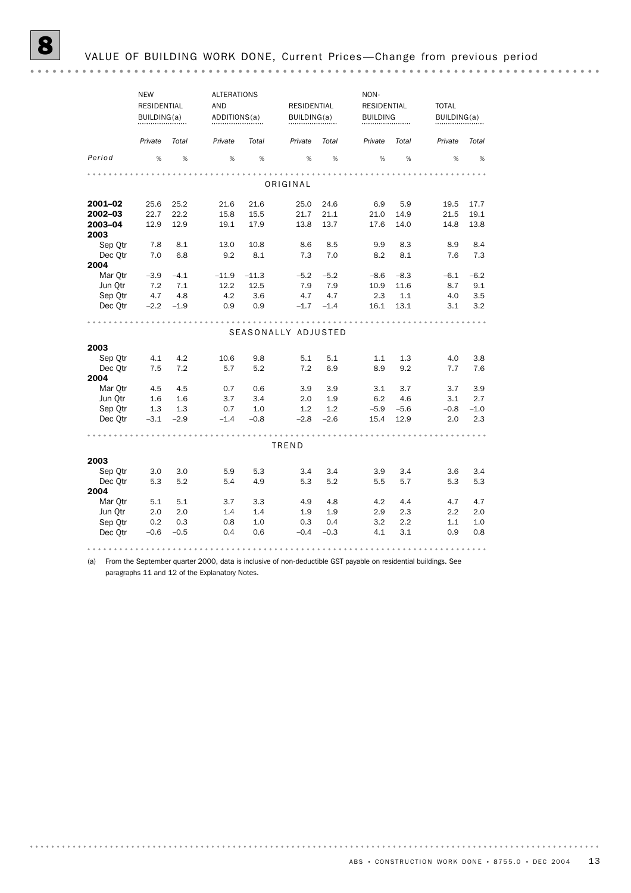|                 | <b>NEW</b><br><b>RESIDENTIAL</b><br>BUILDING(a) |        | <b>ALTERATIONS</b><br><b>AND</b><br>ADDITIONS(a) | <b>RESIDENTIAL</b><br>BUILDING(a) |                     |        | NON-<br><b>RESIDENTIAL</b><br><b>BUILDING</b> |        | <b>TOTAL</b><br>BUILDING(a) |        |
|-----------------|-------------------------------------------------|--------|--------------------------------------------------|-----------------------------------|---------------------|--------|-----------------------------------------------|--------|-----------------------------|--------|
|                 | Private                                         | Total  | Private                                          | Total                             | Private             | Total  | Private                                       | Total  | Private                     | Total  |
| Period          | %                                               | %      | %                                                | %                                 | %                   | $\%$   | %                                             | %      | %                           | %      |
|                 |                                                 |        |                                                  |                                   | ORIGINAL            |        |                                               |        |                             |        |
|                 |                                                 |        |                                                  |                                   |                     |        |                                               |        |                             |        |
| 2001-02         | 25.6                                            | 25.2   | 21.6                                             | 21.6                              | 25.0                | 24.6   | 6.9                                           | 5.9    | 19.5                        | 17.7   |
| 2002-03         | 22.7                                            | 22.2   | 15.8                                             | 15.5                              | 21.7                | 21.1   | 21.0                                          | 14.9   | 21.5                        | 19.1   |
| 2003-04<br>2003 | 12.9                                            | 12.9   | 19.1                                             | 17.9                              | 13.8                | 13.7   | 17.6                                          | 14.0   | 14.8                        | 13.8   |
| Sep Otr         | 7.8                                             | 8.1    | 13.0                                             | 10.8                              | 8.6                 | 8.5    | 9.9                                           | 8.3    | 8.9                         | 8.4    |
| Dec Otr         | 7.0                                             | 6.8    | 9.2                                              | 8.1                               | 7.3                 | 7.0    | 8.2                                           | 8.1    | 7.6                         | 7.3    |
| 2004            |                                                 |        |                                                  |                                   |                     |        |                                               |        |                             |        |
| Mar Otr         | $-3.9$                                          | $-4.1$ | $-11.9$                                          | $-11.3$                           | $-5.2$              | $-5.2$ | $-8.6$                                        | $-8.3$ | $-6.1$                      | $-6.2$ |
| Jun Otr         | 7.2                                             | 7.1    | 12.2                                             | 12.5                              | 7.9                 | 7.9    | 10.9                                          | 11.6   | 8.7                         | 9.1    |
| Sep Qtr         | 4.7                                             | 4.8    | 4.2                                              | 3.6                               | 4.7                 | 4.7    | 2.3                                           | 1.1    | 4.0                         | 3.5    |
| Dec Otr         | $-2.2$                                          | $-1.9$ | 0.9                                              | 0.9                               | $-1.7$              | $-1.4$ | 16.1                                          | 13.1   | 3.1                         | 3.2    |
| 2003            |                                                 |        |                                                  |                                   | SEASONALLY ADJUSTED |        |                                               |        |                             |        |
| Sep Otr         | 4.1                                             | 4.2    | 10.6                                             | 9.8                               | 5.1                 | 5.1    | 1.1                                           | 1.3    | 4.0                         | 3.8    |
| Dec Otr         | 7.5                                             | 7.2    | 5.7                                              | 5.2                               | 7.2                 | 6.9    | 8.9                                           | 9.2    | 7.7                         | 7.6    |
| 2004            |                                                 |        |                                                  |                                   |                     |        |                                               |        |                             |        |
| Mar Otr         | 4.5                                             | 4.5    | 0.7                                              | 0.6                               | 3.9                 | 3.9    | 3.1                                           | 3.7    | 3.7                         | 3.9    |
| Jun Qtr         | 1.6                                             | 1.6    | 3.7                                              | 3.4                               | 2.0                 | 1.9    | 6.2                                           | 4.6    | 3.1                         | 2.7    |
| Sep Qtr         | 1.3                                             | 1.3    | 0.7                                              | 1.0                               | 1.2                 | 1.2    | $-5.9$                                        | $-5.6$ | $-0.8$                      | $-1.0$ |
| Dec Otr         | $-3.1$                                          | $-2.9$ | $-1.4$                                           | $-0.8$                            | $-2.8$              | $-2.6$ | 15.4                                          | 12.9   | 2.0                         | 2.3    |
|                 |                                                 |        |                                                  |                                   |                     |        |                                               |        |                             |        |
|                 |                                                 |        |                                                  |                                   | TREND               |        |                                               |        |                             |        |
| 2003            |                                                 |        |                                                  |                                   |                     |        |                                               |        |                             |        |
| Sep Otr         | 3.0                                             | 3.0    | 5.9                                              | 5.3                               | 3.4                 | 3.4    | 3.9                                           | 3.4    | 3.6                         | 3.4    |
| Dec Otr         | 5.3                                             | 5.2    | 5.4                                              | 4.9                               | 5.3                 | 5.2    | 5.5                                           | 5.7    | 5.3                         | 5.3    |
| 2004            |                                                 |        |                                                  |                                   |                     |        |                                               |        |                             |        |
| Mar Otr         | 5.1                                             | 5.1    | 3.7                                              | 3.3                               | 4.9                 | 4.8    | 4.2                                           | 4.4    | 4.7                         | 4.7    |
| Jun Qtr         | 2.0                                             | 2.0    | 1.4                                              | 1.4                               | 1.9                 | 1.9    | 2.9                                           | 2.3    | 2.2                         | 2.0    |
| Sep Otr         | 0.2                                             | 0.3    | 0.8                                              | 1.0                               | 0.3                 | 0.4    | 3.2                                           | 2.2    | 1.1                         | 1.0    |
| Dec Otr         | $-0.6$                                          | $-0.5$ | 0.4                                              | 0.6                               | $-0.4$              | $-0.3$ | 4.1                                           | 3.1    | 0.9                         | 0.8    |
| 0.0.0.0         |                                                 |        |                                                  |                                   |                     |        |                                               |        |                             |        |

(a) From the September quarter 2000, data is inclusive of non-deductible GST payable on residential buildings. See paragraphs 11 and 12 of the Explanatory Notes.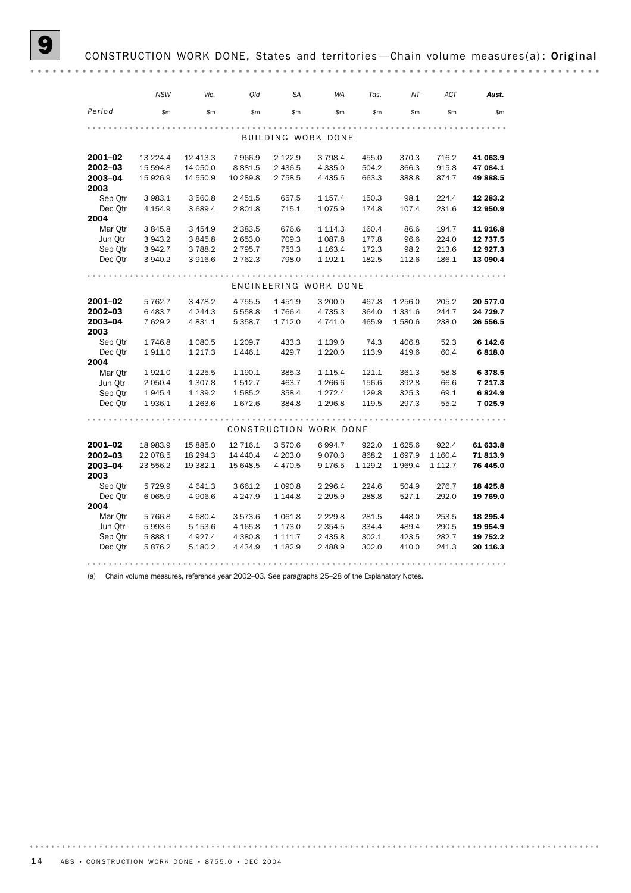# CONSTRUCTION WORK DONE, States and territories-Chain volume measures(a): Original

|                    | <b>NSW</b>           | Vic.                    | Old                  | <b>SA</b>            | <b>WA</b>              | Tas.                 | ΝT               | <b>ACT</b>             | Aust.               |
|--------------------|----------------------|-------------------------|----------------------|----------------------|------------------------|----------------------|------------------|------------------------|---------------------|
| Period             | \$m\$                | \$m                     | \$m                  | \$m                  | \$m                    | \$m\$                | \$m              | \$m                    | \$m\$               |
|                    |                      |                         |                      |                      |                        |                      |                  |                        |                     |
|                    |                      |                         |                      |                      | BUILDING WORK DONE     |                      |                  |                        |                     |
| 2001-02            | 13 2 2 4.4           | 12 413.3                | 7966.9               | 2 1 2 2 . 9          | 3 7 9 8.4              | 455.0                | 370.3            | 716.2                  | 41 063.9            |
| 2002-03            | 15 594.8             | 14 050.0                | 8 8 8 1.5            | 2 436.5              | 4 3 3 5.0              | 504.2                | 366.3            | 915.8                  | 47 084.1            |
| 2003-04            | 15 926.9             | 14 550.9                | 10 289.8             | 2 7 5 8.5            | 4 4 3 5.5              | 663.3                | 388.8            | 874.7                  | 49 888.5            |
| 2003<br>Sep Otr    | 3 983.1              | 3 560.8                 | 2 451.5              | 657.5                | 1 1 5 7 . 4            | 150.3                | 98.1             | 224.4                  | 12 283.2            |
| Dec Qtr            | 4 1 5 4 .9           | 3 689.4                 | 2801.8               | 715.1                | 1075.9                 | 174.8                | 107.4            | 231.6                  | 12 950.9            |
| 2004               |                      |                         |                      |                      |                        |                      |                  |                        |                     |
| Mar Otr            | 3845.8               | 3 4 5 4.9               | 2 3 8 3 .5           | 676.6                | 1 1 1 4 . 3            | 160.4                | 86.6             | 194.7                  | 11 916.8            |
| Jun Qtr            | 3943.2               | 3845.8                  | 2 653.0              | 709.3                | 1 0 8 7 .8             | 177.8                | 96.6             | 224.0                  | 12 737.5            |
| Sep Otr            | 3942.7               | 3788.2                  | 2 795.7              | 753.3                | 1 1 6 3 . 4            | 172.3                | 98.2             | 213.6                  | 12 927.3            |
| Dec Qtr            | 3 940.2              | 3916.6                  | 2 762.3              | 798.0                | 1 192.1                | 182.5                | 112.6            | 186.1                  | 13 090.4            |
|                    |                      |                         |                      |                      |                        |                      |                  |                        |                     |
|                    |                      |                         |                      |                      | ENGINEERING WORK DONE  |                      |                  |                        |                     |
| 2001-02            | 5 762.7              | 3 4 7 8.2               | 4 7 5 5.5            | 1 451.9              | 3 200.0                | 467.8                | 1 256.0          | 205.2                  | 20 577.0            |
| 2002-03            | 6483.7               | 4 2 4 4 .3              | 5 5 5 8.8            | 1 766.4              | 4 7 3 5 . 3            | 364.0                | 1 3 3 1.6        | 244.7                  | 24 729.7            |
| 2003-04            | 7 629.2              | 4 8 3 1.1               | 5 3 5 8.7            | 1 7 1 2.0            | 4 741.0                | 465.9                | 1580.6           | 238.0                  | 26 556.5            |
| 2003               |                      |                         |                      |                      |                        |                      |                  |                        |                     |
| Sep Qtr            | 1746.8               | 1 080.5                 | 1 209.7              | 433.3                | 1 139.0                | 74.3                 | 406.8            | 52.3                   | 6 142.6             |
| Dec Otr            | 1911.0               | 1 2 1 7 . 3             | 1 4 4 6.1            | 429.7                | 1 2 2 0.0              | 113.9                | 419.6            | 60.4                   | 6818.0              |
| 2004               |                      |                         |                      |                      |                        |                      |                  |                        |                     |
| Mar Qtr<br>Jun Otr | 1921.0<br>2 0 5 0.4  | 1 2 2 5 .5<br>1 3 0 7.8 | 1 190.1<br>1 512.7   | 385.3<br>463.7       | 1 1 1 5 . 4<br>1 266.6 | 121.1<br>156.6       | 361.3<br>392.8   | 58.8<br>66.6           | 6378.5<br>7 217.3   |
| Sep Otr            | 1945.4               | 1 139.2                 | 1585.2               | 358.4                | 1 2 7 2.4              | 129.8                | 325.3            | 69.1                   | 6824.9              |
| Dec Qtr            | 1936.1               | 1 263.6                 | 1672.6               | 384.8                | 1 2 9 6.8              | 119.5                | 297.3            | 55.2                   | 7 025.9             |
|                    |                      |                         |                      |                      |                        |                      |                  |                        |                     |
|                    |                      |                         |                      |                      | CONSTRUCTION WORK DONE |                      |                  |                        |                     |
|                    |                      |                         |                      |                      |                        |                      |                  |                        |                     |
| 2001-02            | 18 983.9             | 15 885.0                | 12 716.1             | 3 570.6              | 6994.7                 | 922.0                | 1625.6           | 922.4                  | 61 633.8            |
| 2002-03<br>2003-04 | 22 078.5<br>23 556.2 | 18 294.3<br>19 382.1    | 14 440.4<br>15 648.5 | 4 203.0<br>4 4 7 0.5 | 9070.3<br>9 1 7 6 .5   | 868.2<br>1 1 2 9 . 2 | 1697.9<br>1969.4 | 1 1 6 0.4<br>1 1 1 2.7 | 71813.9<br>76 445.0 |
| 2003               |                      |                         |                      |                      |                        |                      |                  |                        |                     |
| Sep Otr            | 5729.9               | 4 641.3                 | 3 661.2              | 1 0 9 0.8            | 2 2 9 6.4              | 224.6                | 504.9            | 276.7                  | 18 4 25.8           |
| Dec Qtr            | 6 0 6 5.9            | 4 906.6                 | 4 2 4 7 .9           | 1 1 4 4 .8           | 2 2 9 5.9              | 288.8                | 527.1            | 292.0                  | 19 769.0            |
| 2004               |                      |                         |                      |                      |                        |                      |                  |                        |                     |
| Mar Otr            | 5766.8               | 4 680.4                 | 3 573.6              | 1 0 6 1.8            | 2 2 2 9.8              | 281.5                | 448.0            | 253.5                  | 18 295.4            |
| Jun Qtr            | 5993.6               | 5 153.6                 | 4 1 65.8             | 1 173.0              | 2 3 5 4 . 5            | 334.4                | 489.4            | 290.5                  | 19 954.9            |
| Sep Otr            | 5888.1               | 4927.4                  | 4 3 8 0.8            | 1 111.7              | 2 435.8                | 302.1                | 423.5            | 282.7                  | 19 752.2            |
| Dec Qtr            | 5876.2               | 5 180.2                 | 4 4 3 4 .9           | 1 182.9              | 2 488.9                | 302.0                | 410.0            | 241.3                  | 20 116.3            |
|                    |                      |                         |                      |                      |                        |                      |                  |                        |                     |

(a) Chain volume measures, reference year 2002–03. See paragraphs 25–28 of the Explanatory Notes.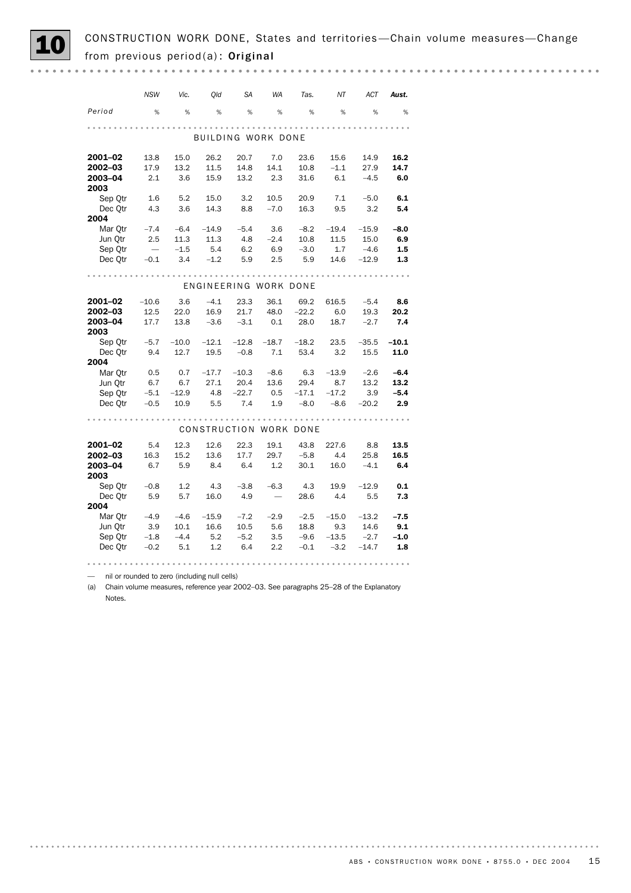CONSTRUCTION WORK DONE, States and territories—Chain volume measures—Change from previous period(a): Original

|                    | <b>NSW</b>       | Vic.        | Qld                   | SА          | WA          | Tas.           | NT          | <b>ACT</b>     | Aust.       |
|--------------------|------------------|-------------|-----------------------|-------------|-------------|----------------|-------------|----------------|-------------|
| Period             | %                | %           | %                     | %           | %           | %              | %           | %              | %           |
|                    |                  |             |                       |             |             |                |             |                |             |
|                    |                  |             | BUILDING WORK DONE    |             |             |                |             |                |             |
| 2001-02            | 13.8             | 15.0        | 26.2                  | 20.7        | 7.0         | 23.6           | 15.6        | 14.9           | 16.2        |
| 2002-03            | 17.9             | 13.2        | 11.5                  | 14.8        | 14.1        | 10.8           | $-1.1$      | 27.9           | 14.7        |
| 2003-04<br>2003    | 2.1              | 3.6         | 15.9                  | 13.2        | 2.3         | 31.6           | 6.1         | $-4.5$         | 6.0         |
| Sep Qtr            | 1.6              | 5.2         | 15.0                  | 3.2         | 10.5        | 20.9           | 7.1         | $-5.0$         | 6.1         |
| Dec Otr            | 4.3              | 3.6         | 14.3                  | 8.8         | $-7.0$      | 16.3           | 9.5         | 3.2            | 5.4         |
| 2004               |                  |             |                       |             |             |                |             |                |             |
| Mar Otr            | $-7.4$           | $-6.4$      | $-14.9$               | $-5.4$      | 3.6         | $-8.2$         | $-19.4$     | $-15.9$        | $-8.0$      |
| Jun Qtr            | 2.5              | 11.3        | 11.3                  | 4.8         | $-2.4$      | 10.8           | 11.5        | 15.0           | 6.9         |
| Sep Otr            | $\hspace{0.1mm}$ | $-1.5$      | -5.4                  | 6.2         | 6.9         | $-3.0$         | 1.7         | $-4.6$         | 1.5         |
| Dec Qtr            | $-0.1$           | 3.4         | $-1.2$                | 5.9         | 2.5         | 5.9            | 14.6        | $-12.9$        | 1.3         |
|                    |                  |             | ENGINEERING WORK DONE |             |             |                |             |                |             |
|                    |                  |             |                       |             |             |                |             |                |             |
| 2001-02            | $-10.6$          | 3.6         | $-4.1$                | 23.3        | 36.1        | 69.2           | 616.5       | $-5.4$         | 8.6         |
| 2002-03            | 12.5             | 22.0        | 16.9                  | 21.7        | 48.0        | $-22.2$        | 6.0         | 19.3           | 20.2        |
| 2003-04<br>2003    | 17.7             | 13.8        | $-3.6$                | $-3.1$      | 0.1         | 28.0           | 18.7        | $-2.7$         | 7.4         |
| Sep Otr            | $-5.7$           | $-10.0$     | $-12.1$               | $-12.8$     | $-18.7$     | $-18.2$        | 23.5        | $-35.5$        | $-10.1$     |
| Dec Otr<br>2004    | 9.4              | 12.7        | 19.5                  | $-0.8$      | 7.1         | 53.4           | 3.2         | 15.5           | 11.0        |
| Mar Otr            | 0.5              | 0.7         | $-17.7$               | $-10.3$     | $-8.6$      | 6.3            | $-13.9$     | $-2.6$         | $-6.4$      |
| Jun Otr            | 6.7              | 6.7         | 27.1                  | 20.4        | 13.6        | 29.4           | 8.7         | 13.2           | 13.2        |
| Sep Qtr            | $-5.1$           | $-12.9$     | 4.8                   | $-22.7$     | 0.5         | $-17.1$        | $-17.2$     | 3.9            | $-5.4$      |
| Dec Qtr            | $-0.5$           | 10.9        | 5.5                   | 7.4         | 1.9         | $-8.0$         | $-8.6$      | $-20.2$        | 2.9         |
|                    |                  |             | CONSTRUCTION          |             |             | WORK DONE      |             |                |             |
|                    |                  |             |                       |             |             |                |             |                |             |
| 2001-02<br>2002-03 | 5.4              | 12.3        | 12.6                  | 22.3        | 19.1        | 43.8           | 227.6       | 8.8            | 13.5        |
| 2003-04            | 16.3<br>6.7      | 15.2<br>5.9 | 13.6<br>8.4           | 17.7<br>6.4 | 29.7<br>1.2 | $-5.8$<br>30.1 | 4.4<br>16.0 | 25.8<br>$-4.1$ | 16.5<br>6.4 |
| 2003               |                  |             |                       |             |             |                |             |                |             |
| Sep Qtr            | $-0.8$           | 1.2         | 4.3                   | $-3.8$      | $-6.3$      | 4.3            | 19.9        | $-12.9$        | 0.1         |
| Dec Otr<br>2004    | 5.9              | 5.7         | 16.0                  | 4.9         |             | 28.6           | 4.4         | 5.5            | 7.3         |
| Mar Otr            | $-4.9$           | $-4.6$      | $-15.9$               | $-7.2$      | $-2.9$      | $-2.5$         | $-15.0$     | $-13.2$        | $-7.5$      |
| Jun Qtr            | 3.9              | 10.1        | 16.6                  | 10.5        | 5.6         | 18.8           | 9.3         | 14.6           | 9.1         |
| Sep Otr            | $-1.8$           | $-4.4$      | 5.2                   | $-5.2$      | 3.5         | $-9.6$         | $-13.5$     | $-2.7$         | $-1.0$      |
| Dec Otr            | $-0.2$           | 5.1         | 1.2                   | 6.4         | 2.2         | $-0.1$         | $-3.2$      | $-14.7$        | 1.8         |
|                    |                  |             |                       |             |             |                |             |                |             |

— nil or rounded to zero (including null cells)

(a) Chain volume measures, reference year 2002–03. See paragraphs 25–28 of the Explanatory Notes.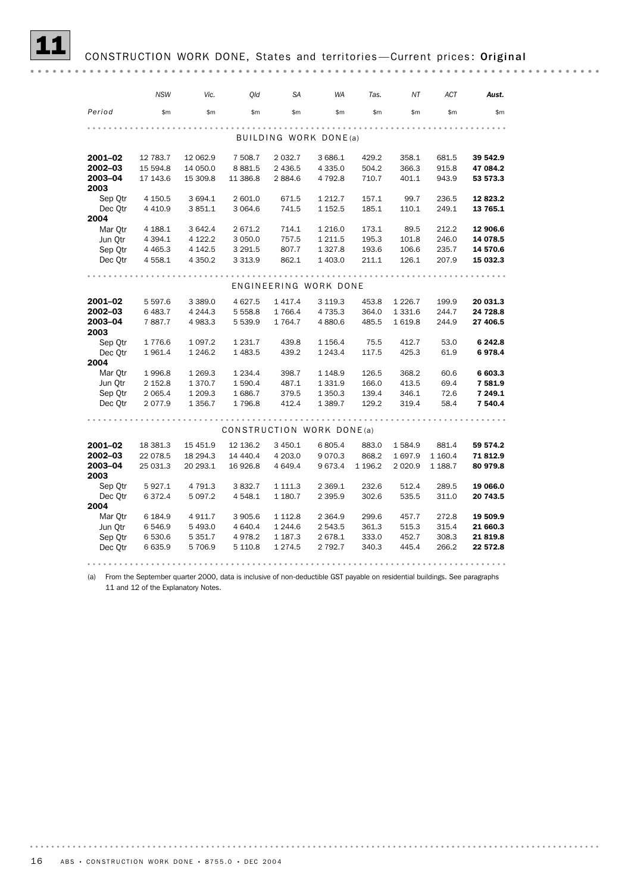# CONSTRUCTION WORK DONE, States and territories-Current prices: Original

|                 | <b>NSW</b>  | Vic.        | Old                       | <b>SA</b>   | <b>WA</b>             | Tas.     | ΝT        | <b>ACT</b> | Aust.                |
|-----------------|-------------|-------------|---------------------------|-------------|-----------------------|----------|-----------|------------|----------------------|
| Period          | \$m\$       | \$m         | \$m                       | \$m\$       | \$m\$                 | \$m      | \$m\$     | \$m\$      | \$m\$                |
|                 |             |             |                           |             | BUILDING WORK DONE(a) |          |           |            |                      |
|                 |             |             |                           |             |                       |          |           |            |                      |
| 2001-02         | 12 783.7    | 12 062.9    | 7 508.7                   | 2 0 3 2.7   | 3 686.1               | 429.2    | 358.1     | 681.5      | 39 542.9             |
| 2002-03         | 15 594.8    | 14 050.0    | 8881.5                    | 2 436.5     | 4 3 3 5.0             | 504.2    | 366.3     | 915.8      | 47 084.2             |
| 2003-04         | 17 143.6    | 15 309.8    | 11 386.8                  | 2884.6      | 4792.8                | 710.7    | 401.1     | 943.9      | 53 573.3             |
| 2003            |             |             |                           |             |                       |          |           |            |                      |
| Sep Otr         | 4 150.5     | 3 694.1     | 2 601.0                   | 671.5       | 1 2 1 2.7             | 157.1    | 99.7      | 236.5      | 12 823.2<br>13 765.1 |
| Dec Qtr<br>2004 | 4 4 1 0.9   | 3 851.1     | 3 0 6 4.6                 | 741.5       | 1 1 5 2.5             | 185.1    | 110.1     | 249.1      |                      |
| Mar Otr         | 4 188.1     | 3 642.4     | 2 671.2                   | 714.1       | 1 2 1 6 .0            | 173.1    | 89.5      | 212.2      | 12 906.6             |
| Jun Qtr         | 4 3 9 4 . 1 | 4 122.2     | 3 0 5 0.0                 | 757.5       | 1 2 1 1.5             | 195.3    | 101.8     | 246.0      | 14 078.5             |
| Sep Qtr         | 4 4 6 5.3   | 4 142.5     | 3 2 9 1.5                 | 807.7       | 1 3 2 7 . 8           | 193.6    | 106.6     | 235.7      | 14 570.6             |
| Dec Otr         | 4 5 5 8.1   | 4 350.2     | 3 3 1 3 . 9               | 862.1       | 1 403.0               | 211.1    | 126.1     | 207.9      | 15 032.3             |
|                 |             |             |                           |             |                       |          |           |            |                      |
|                 |             |             |                           |             | ENGINEERING WORK DONE |          |           |            |                      |
|                 |             |             |                           |             |                       |          |           |            |                      |
| 2001-02         | 5 5 9 7.6   | 3 3 8 9.0   | 4 627.5                   | 1 4 1 7 . 4 | 3 1 1 9 . 3           | 453.8    | 1 2 2 6.7 | 199.9      | 20 031.3             |
| $2002 - 03$     | 6483.7      | 4 244.3     | 5 5 5 8.8                 | 1766.4      | 4 7 3 5 . 3           | 364.0    | 1 3 3 1.6 | 244.7      | 24 728.8             |
| 2003-04         | 7887.7      | 4983.3      | 5 539.9                   | 1 7 64.7    | 4880.6                | 485.5    | 1 6 1 9.8 | 244.9      | 27 406.5             |
| 2003            |             |             |                           |             |                       |          |           |            |                      |
| Sep Otr         | 1776.6      | 1 0 9 7 . 2 | 1 2 3 1.7                 | 439.8       | 1 1 5 6.4             | 75.5     | 412.7     | 53.0       | 6 242.8              |
| Dec Otr<br>2004 | 1961.4      | 1 246.2     | 1 4 8 3.5                 | 439.2       | 1 2 4 3 . 4           | 117.5    | 425.3     | 61.9       | 6978.4               |
| Mar Otr         | 1996.8      | 1 269.3     | 1 2 3 4 . 4               | 398.7       | 1 1 48.9              | 126.5    | 368.2     | 60.6       | 6 603.3              |
| Jun Otr         | 2 152.8     | 1370.7      | 1 590.4                   | 487.1       | 1 3 3 1.9             | 166.0    | 413.5     | 69.4       | 7 581.9              |
| Sep Otr         | 2 0 6 5.4   | 1 209.3     | 1686.7                    | 379.5       | 1 350.3               | 139.4    | 346.1     | 72.6       | 7 249.1              |
| Dec Qtr         | 2077.9      | 1 3 5 6.7   | 1796.8                    | 412.4       | 1 389.7               | 129.2    | 319.4     | 58.4       | 7 540.4              |
|                 |             |             |                           |             |                       |          |           |            |                      |
|                 |             |             |                           |             |                       |          |           |            |                      |
|                 |             |             | CONSTRUCTION WORK DONE(a) |             |                       |          |           |            |                      |
| 2001-02         | 18 381.3    | 15 451.9    | 12 136.2                  | 3 450.1     | 6 805.4               | 883.0    | 1584.9    | 881.4      | 59 574.2             |
| 2002-03         | 22 078.5    | 18 294.3    | 14 440.4                  | 4 203.0     | 9 0 7 0.3             | 868.2    | 1697.9    | 1 160.4    | 71812.9              |
| 2003-04         | 25 031.3    | 20 293.1    | 16 926.8                  | 4 649.4     | 9673.4                | 1 1 96.2 | 2 0 2 0.9 | 1 188.7    | 80 979.8             |
| 2003            |             |             |                           |             |                       |          |           |            |                      |
| Sep Qtr         | 5927.1      | 4 791.3     | 3832.7                    | 1 111.3     | 2 3 6 9.1             | 232.6    | 512.4     | 289.5      | 19 066.0             |
| Dec Otr<br>2004 | 6372.4      | 5 0 9 7.2   | 4 5 4 8.1                 | 1 180.7     | 2 3 9 5.9             | 302.6    | 535.5     | 311.0      | 20 743.5             |
| Mar Otr         | 6 184.9     | 4 9 1 1.7   | 3 905.6                   | 1 1 1 2.8   | 2 3 6 4 .9            | 299.6    | 457.7     | 272.8      | 19 509.9             |
| Jun Qtr         | 6 546.9     | 5 493.0     | 4 640.4                   | 1 244.6     | 2 543.5               | 361.3    | 515.3     | 315.4      | 21 660.3             |
| Sep Qtr         | 6 530.6     | 5 3 5 1.7   | 4978.2                    | 1 187.3     | 2678.1                | 333.0    | 452.7     | 308.3      | 21819.8              |
| Dec Qtr         | 6 6 3 5.9   | 5706.9      | 5 1 1 0.8                 | 1 2 7 4 . 5 | 2 7 9 2.7             | 340.3    | 445.4     | 266.2      | 22 572.8             |
|                 |             |             |                           |             |                       |          |           |            |                      |

(a) From the September quarter 2000, data is inclusive of non-deductible GST payable on residential buildings. See paragraphs 11 and 12 of the Explanatory Notes.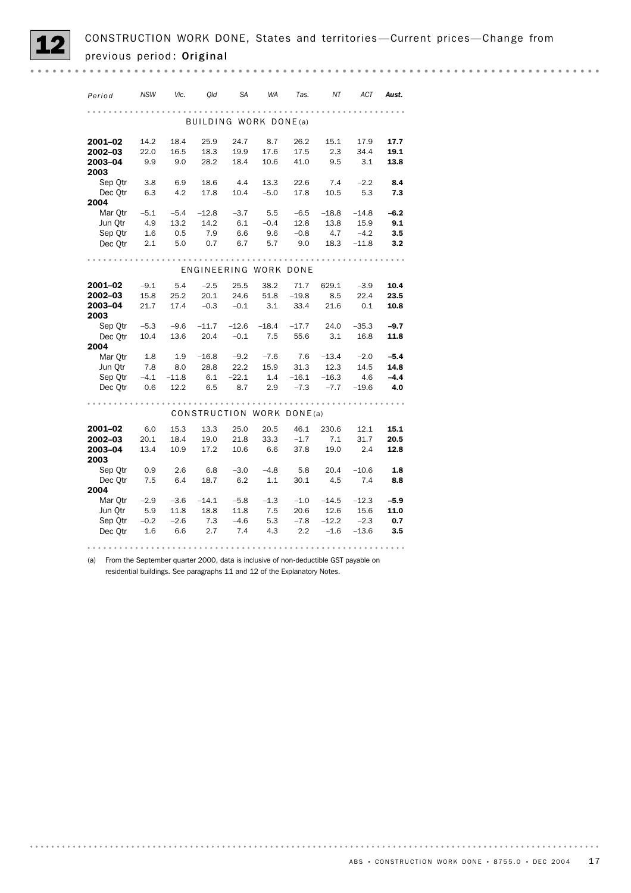| Period          | <b>NSW</b> | Vic.    | Old                   | <b>SA</b> | <b>WA</b> | Tas.                      | NT      | <b>ACT</b> | Aust.  |
|-----------------|------------|---------|-----------------------|-----------|-----------|---------------------------|---------|------------|--------|
|                 |            |         | BUILDING WORK DONE(a) |           |           |                           |         |            |        |
|                 |            |         |                       |           |           |                           |         |            |        |
| 2001-02         | 14.2       | 18.4    | 25.9                  | 24.7      | 8.7       | 26.2                      | 15.1    | 17.9       | 17.7   |
| 2002-03         | 22.0       | 16.5    | 18.3                  | 19.9      | 17.6      | 17.5                      | 2.3     | 34.4       | 19.1   |
| 2003-04<br>2003 | 9.9        | 9.0     | 28.2                  | 18.4      | 10.6      | 41.0                      | 9.5     | 3.1        | 13.8   |
| Sep Otr         | 3.8        | 6.9     | 18.6                  | 4.4       | 13.3      | 22.6                      | 7.4     | $-2.2$     | 8.4    |
| Dec Otr         | 6.3        | 4.2     | 17.8                  | 10.4      | $-5.0$    | 17.8                      | 10.5    | 5.3        | 7.3    |
| 2004            |            |         |                       |           |           |                           |         |            |        |
| Mar Qtr         | $-5.1$     | $-5.4$  | $-12.8$               | $-3.7$    | 5.5       | $-6.5$                    | $-18.8$ | $-14.8$    | $-6.2$ |
| Jun Otr         | 4.9        | 13.2    | 14.2                  | 6.1       | $-0.4$    | 12.8                      | 13.8    | 15.9       | 9.1    |
| Sep Otr         | 1.6        | 0.5     | 7.9                   | 6.6       | 9.6       | $-0.8$                    | 4.7     | $-4.2$     | 3.5    |
| Dec Otr         | 2.1        | 5.0     | 0.7                   | 6.7       | 5.7       | 9.0                       | 18.3    | $-11.8$    | 3.2    |
|                 |            |         |                       |           |           |                           |         |            |        |
|                 |            |         | ENGINEERING WORK DONE |           |           |                           |         |            |        |
| 2001-02         | $-9.1$     | 5.4     | $-2.5$                | 25.5      | 38.2      | 71.7                      | 629.1   | $-3.9$     | 10.4   |
| 2002-03         | 15.8       | 25.2    | 20.1                  | 24.6      | 51.8      | $-19.8$                   | 8.5     | 22.4       | 23.5   |
| 2003-04         | 21.7       | 17.4    | $-0.3$                | $-0.1$    | 3.1       | 33.4                      | 21.6    | 0.1        | 10.8   |
| 2003            |            |         |                       |           |           |                           |         |            |        |
| Sep Otr         | $-5.3$     | $-9.6$  | $-11.7$               | $-12.6$   | $-18.4$   | $-17.7$                   | 24.0    | $-35.3$    | $-9.7$ |
| Dec Otr         | 10.4       | 13.6    | 20.4                  | $-0.1$    | 7.5       | 55.6                      | 3.1     | 16.8       | 11.8   |
| 2004            |            |         |                       |           |           |                           |         |            |        |
| Mar Otr         | 1.8        | 1.9     | $-16.8$               | $-9.2$    | $-7.6$    | 7.6                       | $-13.4$ | $-2.0$     | $-5.4$ |
| Jun Qtr         | 7.8        | 8.0     | 28.8                  | 22.2      | 15.9      | 31.3                      | 12.3    | 14.5       | 14.8   |
| Sep Otr         | $-4.1$     | $-11.8$ | 6.1                   | $-22.1$   | 1.4       | $-16.1$                   | $-16.3$ | 4.6        | $-4.4$ |
| Dec Qtr         | 0.6        | 12.2    | 6.5                   | 8.7       | 2.9       | $-7.3$                    | $-7.7$  | $-19.6$    | 4.0    |
|                 |            |         |                       |           |           |                           |         |            |        |
|                 |            |         |                       |           |           | CONSTRUCTION WORK DONE(a) |         |            |        |
| 2001-02         | 6.0        | 15.3    | 13.3                  | 25.0      | 20.5      | 46.1                      | 230.6   | 12.1       | 15.1   |
| 2002-03         | 20.1       | 18.4    | 19.0                  | 21.8      | 33.3      | $-1.7$                    | 7.1     | 31.7       | 20.5   |
| 2003-04         | 13.4       | 10.9    | 17.2                  | 10.6      | 6.6       | 37.8                      | 19.0    | 2.4        | 12.8   |
| 2003            |            |         |                       |           |           |                           |         |            |        |
| Sep Otr         | 0.9        | 2.6     | 6.8                   | $-3.0$    | $-4.8$    | 5.8                       | 20.4    | $-10.6$    | 1.8    |
| Dec Otr<br>2004 | 7.5        | 6.4     | 18.7                  | 6.2       | 1.1       | 30.1                      | 4.5     | 7.4        | 8.8    |
| Mar Qtr         | $-2.9$     | $-3.6$  | $-14.1$               | $-5.8$    | $-1.3$    | $-1.0$                    | $-14.5$ | $-12.3$    | $-5.9$ |
| Jun Otr         | 5.9        | 11.8    | 18.8                  | 11.8      | 7.5       | 20.6                      | 12.6    | 15.6       | 11.0   |
| Sep Qtr         | $-0.2$     | $-2.6$  | 7.3                   | $-4.6$    | 5.3       | $-7.8$                    | $-12.2$ | $-2.3$     | 0.7    |
| Dec Qtr         | 1.6        | 6.6     | 2.7                   | 7.4       | 4.3       | 2.2                       | $-1.6$  | $-13.6$    | 3.5    |
|                 |            |         |                       |           |           |                           |         |            |        |
|                 |            |         |                       |           |           |                           |         |            |        |

(a) From the September quarter 2000, data is inclusive of non-deductible GST payable on residential buildings. See paragraphs 11 and 12 of the Explanatory Notes.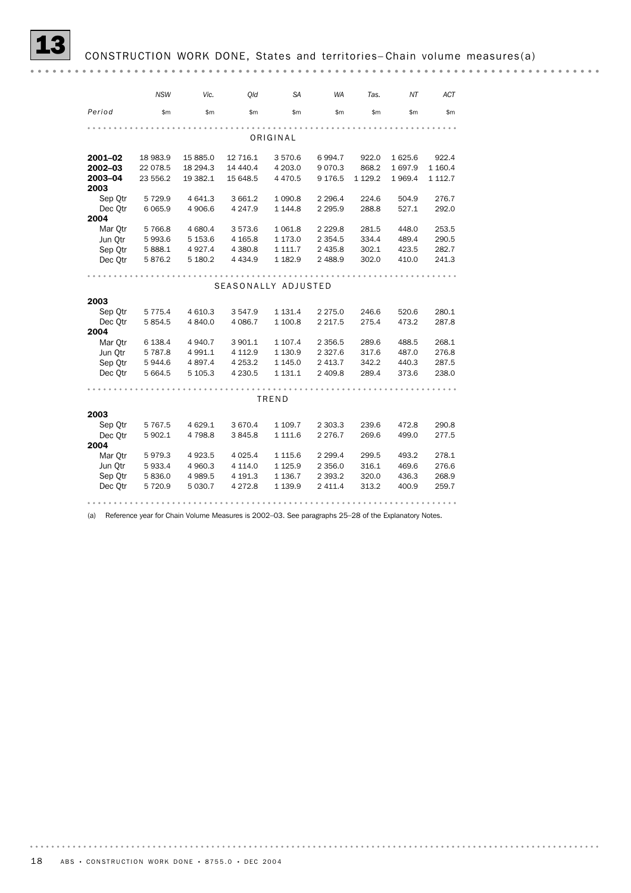|                 | <b>NSW</b> | Vic.      | Old                 | SA          | WA          | Tas.      | ΝT      | ACT     |
|-----------------|------------|-----------|---------------------|-------------|-------------|-----------|---------|---------|
| Period          | \$m\$      | \$m       | \$m\$               | \$m\$       | \$m\$       | \$m\$     | \$m     | \$m\$   |
|                 |            |           |                     |             |             |           |         |         |
|                 |            |           |                     | ORIGINAL    |             |           |         |         |
| 2001-02         | 18 983.9   | 15 885.0  | 12 716.1            | 3570.6      | 6994.7      | 922.0     | 1625.6  | 922.4   |
| 2002-03         | 22 078.5   | 18 294.3  | 14 440.4            | 4 203.0     | 9070.3      | 868.2     | 1 697.9 | 1 160.4 |
| 2003-04<br>2003 | 23 556.2   | 19 382.1  | 15 648.5            | 4 470.5     | 9 1 7 6 . 5 | 1 1 2 9.2 | 1969.4  | 1 112.7 |
| Sep Qtr         | 5729.9     | 4 641.3   | 3 661.2             | 1 0 9 0.8   | 2 2 9 6.4   | 224.6     | 504.9   | 276.7   |
| Dec Otr         | 6 0 6 5.9  | 4 906.6   | 4 247.9             | 1 144.8     | 2 2 9 5.9   | 288.8     | 527.1   | 292.0   |
| 2004            |            |           |                     |             |             |           |         |         |
| Mar Otr         | 5766.8     | 4 680.4   | 3573.6              | 1 0 6 1.8   | 2 2 2 9.8   | 281.5     | 448.0   | 253.5   |
| Jun Otr         | 5993.6     | 5 153.6   | 4 1 65.8            | 1 173.0     | 2 3 5 4 . 5 | 334.4     | 489.4   | 290.5   |
| Sep Qtr         | 5888.1     | 4 9 27.4  | 4 380.8             | 1 111.7     | 2 4 3 5.8   | 302.1     | 423.5   | 282.7   |
| Dec Qtr         | 5876.2     | 5 180.2   | 4 4 3 4 .9          | 1 182.9     | 2 4 8 8.9   | 302.0     | 410.0   | 241.3   |
|                 |            |           |                     |             |             |           |         |         |
|                 |            |           | SEASONALLY ADJUSTED |             |             |           |         |         |
|                 |            |           |                     |             |             |           |         |         |
| 2003            |            |           |                     |             |             |           |         |         |
| Sep Otr         | 5 7 7 5.4  | 4 610.3   | 3 547.9             | 1 1 3 1 . 4 | 2 2 7 5 .0  | 246.6     | 520.6   | 280.1   |
| Dec Otr         | 5 8 5 4.5  | 4 840.0   | 4 0 8 6.7           | 1 100.8     | 2 2 1 7 .5  | 275.4     | 473.2   | 287.8   |
| 2004            |            |           |                     |             |             |           |         |         |
| Mar Qtr         | 6 1 38.4   | 4 940.7   | 3 901.1             | 1 107.4     | 2 3 5 6.5   | 289.6     | 488.5   | 268.1   |
| Jun Otr         | 5787.8     | 4 9 9 1.1 | 4 1 1 2.9           | 1 130.9     | 2 3 2 7 .6  | 317.6     | 487.0   | 276.8   |
| Sep Otr         | 5944.6     | 4 897.4   | 4 2 5 3.2           | 1 145.0     | 2 4 1 3.7   | 342.2     | 440.3   | 287.5   |
| Dec Qtr         | 5 664.5    | 5 105.3   | 4 2 3 0.5           | 1 131.1     | 2 409.8     | 289.4     | 373.6   | 238.0   |
|                 |            |           |                     |             |             |           |         |         |
|                 |            |           |                     | TREND       |             |           |         |         |
| 2003            |            |           |                     |             |             |           |         |         |
| Sep Qtr         | 5 7 6 7.5  | 4 629.1   | 3 670.4             | 1 109.7     | 2 303.3     | 239.6     | 472.8   | 290.8   |
| Dec Otr         | 5 902.1    | 4 7 9 8.8 | 3845.8              | 1 1 1 1 .6  | 2 2 7 6 . 7 | 269.6     | 499.0   | 277.5   |
| 2004            |            |           |                     |             |             |           |         |         |
| Mar Otr         | 5979.3     | 4 9 23.5  | 4 0 25.4            | 1 1 1 5.6   | 2 2 9 9.4   | 299.5     | 493.2   | 278.1   |
| Jun Otr         | 5933.4     | 4 960.3   | 4 1 1 4 .0          | 1 1 2 5 . 9 | 2 3 5 6.0   | 316.1     | 469.6   | 276.6   |
| Sep Otr         | 5836.0     | 4 989.5   | 4 191.3             | 1 1 36.7    | 2 3 9 3.2   | 320.0     | 436.3   | 268.9   |
| Dec Otr         | 5720.9     | 5 0 3 0.7 | 4 2 7 2.8           | 1 139.9     | 2 4 1 1.4   | 313.2     | 400.9   | 259.7   |
|                 |            |           |                     |             |             |           |         |         |

(a) Reference year for Chain Volume Measures is 2002–03. See paragraphs 25–28 of the Explanatory Notes.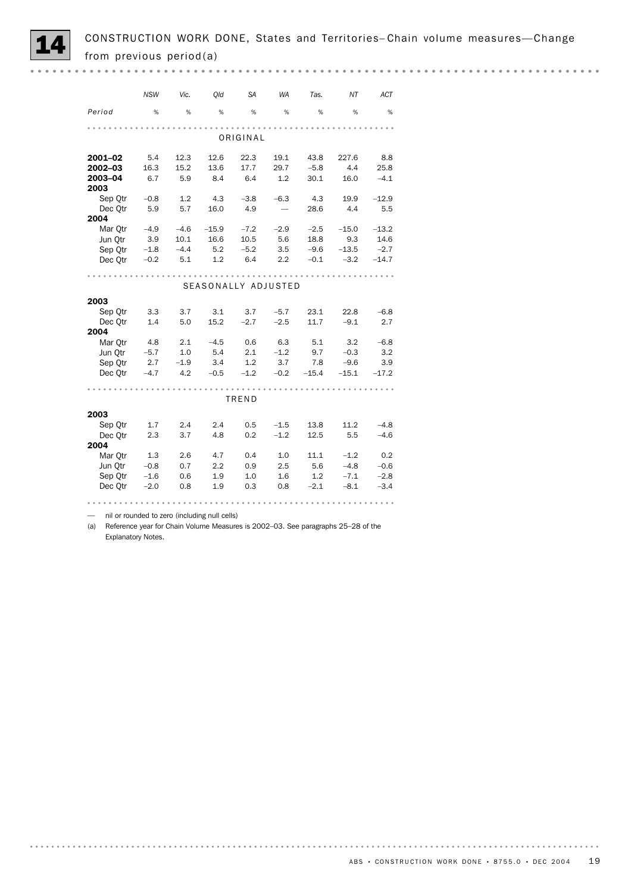

|         | <b>NSW</b> | Vic.   | Qld                                           | <b>SA</b> | <b>WA</b> | Tas.    | NT      | ACT     |
|---------|------------|--------|-----------------------------------------------|-----------|-----------|---------|---------|---------|
| Period  | %          | %      | %                                             | %         | %         | %       | %       | %       |
|         |            |        |                                               |           |           |         |         |         |
|         |            |        |                                               | ORIGINAL  |           |         |         |         |
| 2001-02 | 5.4        | 12.3   | 12.6                                          | 22.3      | 19.1      | 43.8    | 227.6   | 8.8     |
| 2002-03 | 16.3       | 15.2   | 13.6                                          | 17.7      | 29.7      | $-5.8$  | 4.4     | 25.8    |
| 2003-04 | 6.7        | 5.9    | 8.4                                           | 6.4       | 1.2       | 30.1    | 16.0    | $-4.1$  |
| 2003    |            |        |                                               |           |           |         |         |         |
| Sep Otr | $-0.8$     | 1.2    | 4.3                                           | $-3.8$    | $-6.3$    | -4.3    | 19.9    | $-12.9$ |
| Dec Otr | 5.9        | 5.7    | 16.0                                          | 4.9       |           | 28.6    | 4.4     | 5.5     |
| 2004    |            |        |                                               |           |           |         |         |         |
| Mar Otr | $-4.9$     | $-4.6$ | $-15.9$                                       | $-7.2$    | $-2.9$    | $-2.5$  | $-15.0$ | $-13.2$ |
| Jun Otr | 3.9        | 10.1   | 16.6                                          | 10.5      | 5.6       | 18.8    | 9.3     | 14.6    |
| Sep Otr | $-1.8$     | $-4.4$ | 5.2                                           | $-5.2$    | 3.5       | $-9.6$  | $-13.5$ | $-2.7$  |
| Dec Qtr | $-0.2$     | 5.1    | 1.2                                           | 6.4       | 2.2       | $-0.1$  | $-3.2$  | $-14.7$ |
|         |            |        |                                               |           |           |         |         |         |
|         |            |        | SEASONALLY ADJUSTED                           |           |           |         |         |         |
| 2003    |            |        |                                               |           |           |         |         |         |
| Sep Qtr | 3.3        | 3.7    | 3.1                                           | 3.7       | $-5.7$    | 23.1    | 22.8    | $-6.8$  |
| Dec Otr | 1.4        | 5.0    | 15.2                                          | $-2.7$    | $-2.5$    | 11.7    | $-9.1$  | 2.7     |
| 2004    |            |        |                                               |           |           |         |         |         |
| Mar Qtr | 4.8        | 2.1    | $-4.5$                                        | 0.6       | 6.3       | 5.1     | 3.2     | $-6.8$  |
| Jun Otr | $-5.7$     | 1.0    | 5.4                                           | 2.1       | $-1.2$    | 9.7     | $-0.3$  | 3.2     |
| Sep Otr | 2.7        | $-1.9$ | 3.4                                           | 1.2       | 3.7       | 7.8     | $-9.6$  | 3.9     |
| Dec Qtr | $-4.7$     | 4.2    | $-0.5$                                        | $-1.2$    | $-0.2$    | $-15.4$ | $-15.1$ | $-17.2$ |
|         |            |        |                                               |           |           |         |         |         |
|         |            |        |                                               | TREND     |           |         |         |         |
| 2003    |            |        |                                               |           |           |         |         |         |
| Sep Qtr | 1.7        | 2.4    | 2.4                                           | 0.5       | $-1.5$    | 13.8    | 11.2    | $-4.8$  |
| Dec Otr | 2.3        | 3.7    | 4.8                                           | 0.2       | $-1.2$    | 12.5    | 5.5     | $-4.6$  |
| 2004    |            |        |                                               |           |           |         |         |         |
| Mar Qtr | 1.3        | 2.6    | 4.7                                           | 0.4       | 1.0       | 11.1    | $-1.2$  | 0.2     |
| Jun Qtr | $-0.8$     | 0.7    | 2.2                                           | 0.9       | 2.5       | 5.6     | $-4.8$  | $-0.6$  |
| Sep Otr | $-1.6$     | 0.6    | 1.9                                           | 1.0       | 1.6       | 1.2     | $-7.1$  | $-2.8$  |
| Dec Otr | $-2.0$     | 0.8    | 1.9                                           | 0.3       | 0.8       | $-2.1$  | $-8.1$  | $-3.4$  |
|         |            |        |                                               |           |           |         |         |         |
|         |            |        | nil or rounded to zero (including null cells) |           |           |         |         |         |

(a) Reference year for Chain Volume Measures is 2002–03. See paragraphs 25–28 of the Explanatory Notes.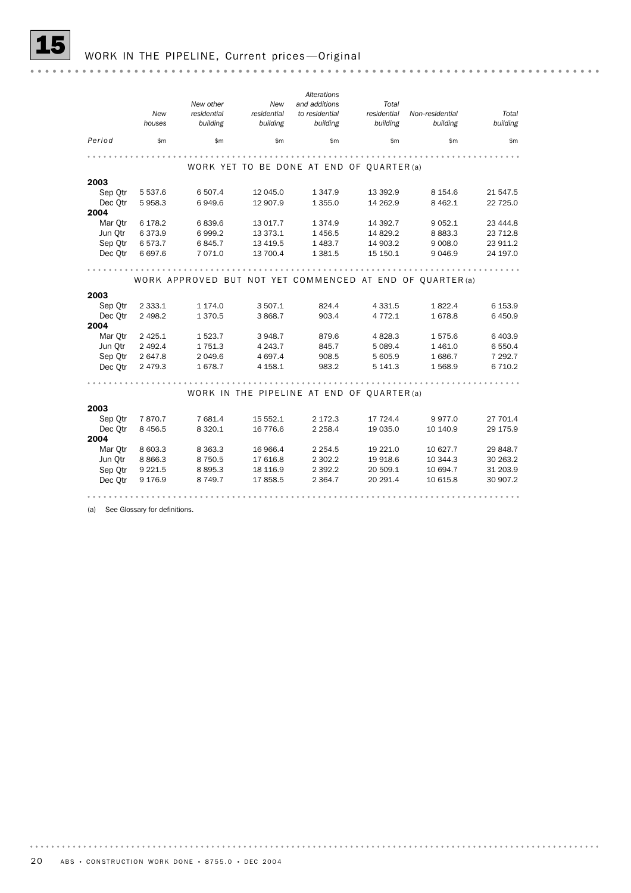|         |             |                                                          |             | Alterations                                |             |                 |           |
|---------|-------------|----------------------------------------------------------|-------------|--------------------------------------------|-------------|-----------------|-----------|
|         |             | New other                                                | New         | and additions                              | Total       |                 |           |
|         | New         | residential                                              | residential | to residential                             | residential | Non-residential | Total     |
|         | houses      | building                                                 | building    | building                                   | building    | building        | building  |
| Period  | \$m\$       | \$m\$                                                    | \$m         | \$m                                        | \$m         | \$m             | \$m\$     |
|         |             |                                                          |             |                                            |             |                 |           |
|         |             |                                                          |             | WORK YET TO BE DONE AT END OF QUARTER (a)  |             |                 |           |
| 2003    |             |                                                          |             |                                            |             |                 |           |
| Sep Otr | 5 5 3 7 . 6 | 6 507.4                                                  | 12 045.0    | 1 3 4 7 .9                                 | 13 392.9    | 8 1 5 4 . 6     | 21 547.5  |
| Dec Qtr | 5958.3      | 6949.6                                                   | 12 907.9    | 1 3 5 5.0                                  | 14 262.9    | 8 4 6 2.1       | 22 725.0  |
| 2004    |             |                                                          |             |                                            |             |                 |           |
| Mar Otr | 6 178.2     | 6839.6                                                   | 13 017.7    | 1 3 7 4 .9                                 | 14 392.7    | 9 0 5 2.1       | 23 444.8  |
| Jun Otr | 6373.9      | 6999.2                                                   | 13 373.1    | 1 4 5 6.5                                  | 14 829.2    | 8883.3          | 23 712.8  |
| Sep Otr | 6573.7      | 6845.7                                                   | 13 4 19.5   | 1 4 8 3.7                                  | 14 903.2    | 9 0 0 8.0       | 23 911.2  |
| Dec Otr | 6 697.6     | 7 071.0                                                  | 13 700.4    | 1 3 8 1 .5                                 | 15 150.1    | 9 0 4 6.9       | 24 197.0  |
|         |             |                                                          |             |                                            |             |                 |           |
|         |             | WORK APPROVED BUT NOT YET COMMENCED AT END OF QUARTER(a) |             |                                            |             |                 |           |
|         |             |                                                          |             |                                            |             |                 |           |
| 2003    |             |                                                          |             |                                            |             |                 |           |
| Sep Qtr | 2 3 3 3.1   | 1 174.0                                                  | 3 507.1     | 824.4                                      | 4 3 3 1.5   | 1822.4          | 6 153.9   |
| Dec Otr | 2 4 9 8.2   | 1370.5                                                   | 3 868.7     | 903.4                                      | 4 7 7 2.1   | 1678.8          | 6 450.9   |
| 2004    |             |                                                          |             |                                            |             |                 |           |
| Mar Otr | 2 4 2 5 . 1 | 1523.7                                                   | 3 948.7     | 879.6                                      | 4 8 28.3    | 1575.6          | 6 403.9   |
| Jun Otr | 2 4 9 2.4   | 1751.3                                                   | 4 2 4 3 . 7 | 845.7                                      | 5 0 8 9.4   | 1 4 6 1.0       | 6 550.4   |
| Sep Qtr | 2 647.8     | 2 049.6                                                  | 4 6 9 7.4   | 908.5                                      | 5 605.9     | 1686.7          | 7 292.7   |
| Dec Qtr | 2 4 7 9 . 3 | 1678.7                                                   | 4 1 58.1    | 983.2                                      | 5 141.3     | 1568.9          | 6 7 1 0.2 |
|         |             |                                                          |             |                                            |             |                 |           |
|         |             |                                                          |             | WORK IN THE PIPELINE AT END OF QUARTER (a) |             |                 |           |
| 2003    |             |                                                          |             |                                            |             |                 |           |
| Sep Qtr | 7870.7      | 7 681.4                                                  | 15 552.1    | 2 172.3                                    | 17 724.4    | 9977.0          | 27 701.4  |
| Dec Otr | 8 4 5 6.5   | 8 3 2 0.1                                                | 16 776.6    | 2 2 5 8.4                                  | 19 035.0    | 10 140.9        | 29 175.9  |
| 2004    |             |                                                          |             |                                            |             |                 |           |
| Mar Otr | 8 603.3     | 8 3 6 3 . 3                                              | 16 966.4    | 2 2 5 4.5                                  | 19 221.0    | 10 627.7        | 29 848.7  |
| Jun Qtr | 8 8 6 6.3   | 8750.5                                                   | 17 616.8    | 2 302.2                                    | 19 918.6    | 10 344.3        | 30 263.2  |
| Sep Qtr | 9 2 2 1.5   | 8895.3                                                   | 18 116.9    | 2 3 9 2.2                                  | 20 509.1    | 10 694.7        | 31 203.9  |
| Dec Otr | 9 176.9     | 8749.7                                                   | 17858.5     | 2 3 64.7                                   | 20 29 1.4   | 10 615.8        | 30 907.2  |
|         |             |                                                          |             |                                            |             |                 |           |
|         |             |                                                          |             |                                            |             |                 |           |

(a) See Glossary for definitions.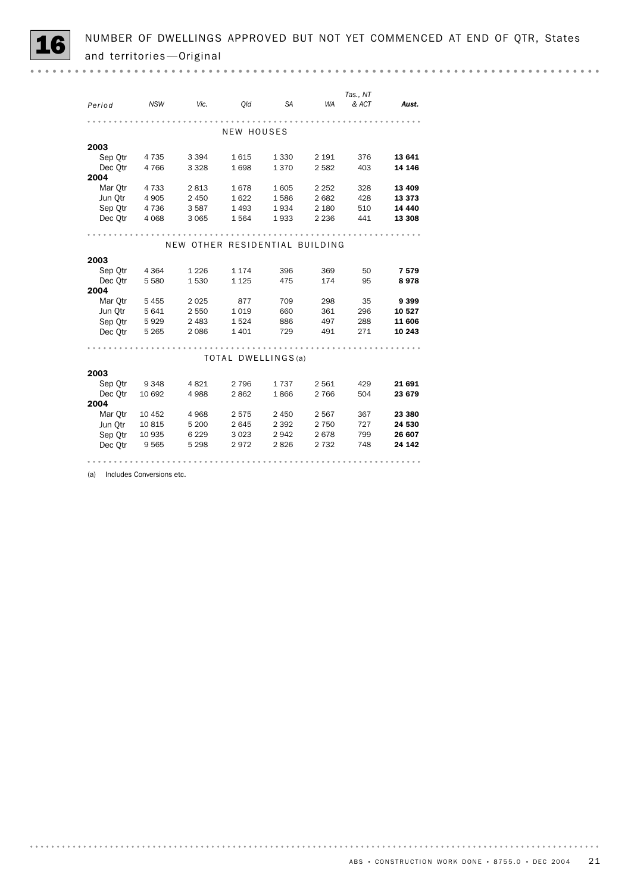|--|--|

| Period  | <b>NSW</b> | Vic.                           | Old        | <b>SA</b>           | <b>WA</b> | Tas., NT<br>& ACT | Aust.    |
|---------|------------|--------------------------------|------------|---------------------|-----------|-------------------|----------|
|         |            |                                | NEW HOUSES |                     |           |                   |          |
| 2003    |            |                                |            |                     |           |                   |          |
| Sep Qtr | 4 7 3 5    | 3 3 9 4                        | 1615       | 1 3 3 0             | 2 1 9 1   | 376               | 13 641   |
| Dec Otr | 4766       | 3 3 2 8                        | 1698       | 1370                | 2582      | 403               | 14 146   |
| 2004    |            |                                |            |                     |           |                   |          |
| Mar Qtr | 4 7 3 3    | 2813                           | 1678       | 1605                | 2 2 5 2   | 328               | 13 4 09  |
| Jun Otr | 4 9 0 5    | 2 4 5 0                        | 1622       | 1586                | 2682      | 428               | 13 3 73  |
| Sep Qtr | 4 7 3 6    | 3587                           | 1 4 9 3    | 1934                | 2 1 8 0   | 510               | 14 4 4 0 |
| Dec Otr | 4 0 6 8    | 3 0 6 5                        | 1564       | 1933                | 2 2 3 6   | 441               | 13 308   |
|         |            |                                |            |                     |           |                   |          |
|         |            | NEW OTHER RESIDENTIAL BUILDING |            |                     |           |                   |          |
| 2003    |            |                                |            |                     |           |                   |          |
| Sep Otr | 4 3 6 4    | 1 2 2 6                        | 1 1 7 4    | 396                 | 369       | 50                | 7579     |
| Dec Otr | 5 5 8 0    | 1530                           | 1 1 2 5    | 475                 | 174       | 95                | 8978     |
| 2004    |            |                                |            |                     |           |                   |          |
| Mar Otr | 5 4 5 5    | 2 0 2 5                        | 877        | 709                 | 298       | 35                | 9 3 9 9  |
| Jun Qtr | 5 6 4 1    | 2 5 5 0                        | 1019       | 660                 | 361       | 296               | 10 527   |
| Sep Otr | 5929       | 2 4 8 3                        | 1524       | 886                 | 497       | 288               | 11 606   |
| Dec Otr | 5 2 6 5    | 2086                           | 1 4 0 1    | 729                 | 491       | 271               | 10 243   |
|         |            |                                |            |                     |           |                   |          |
|         |            |                                |            | TOTAL DWELLINGS (a) |           |                   |          |
| 2003    |            |                                |            |                     |           |                   |          |
| Sep Otr | 9 3 4 8    | 4821                           | 2 7 9 6    | 1737                | 2 5 6 1   | 429               | 21 691   |
| Dec Otr | 10 692     | 4988                           | 2862       | 1866                | 2 7 6 6   | 504               | 23 679   |
| 2004    |            |                                |            |                     |           |                   |          |
| Mar Qtr | 10 452     | 4968                           | 2575       | 2 4 5 0             | 2567      | 367               | 23 380   |
| Jun Qtr | 10815      | 5 200                          | 2645       | 2 3 9 2             | 2 7 5 0   | 727               | 24 530   |
| Sep Otr | 10 935     | 6 2 2 9                        | 3 0 2 3    | 2942                | 2678      | 799               | 26 607   |
| Dec Qtr | 9565       | 5 298                          | 2972       | 2826                | 2 7 3 2   | 748               | 24 142   |
|         |            |                                |            |                     |           |                   |          |

(a) Includes Conversions etc.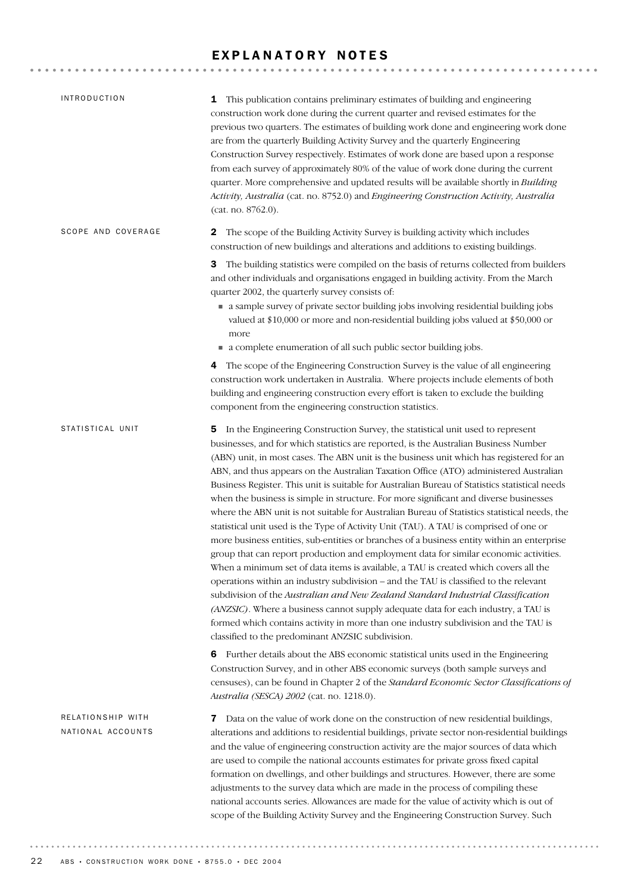### EXPLANATORY NOTES

| <i><b>INTRODUCTION</b></i>             | 1 This publication contains preliminary estimates of building and engineering<br>construction work done during the current quarter and revised estimates for the<br>previous two quarters. The estimates of building work done and engineering work done<br>are from the quarterly Building Activity Survey and the quarterly Engineering<br>Construction Survey respectively. Estimates of work done are based upon a response<br>from each survey of approximately 80% of the value of work done during the current<br>quarter. More comprehensive and updated results will be available shortly in Building<br>Activity, Australia (cat. no. 8752.0) and Engineering Construction Activity, Australia<br>(cat. no. 8762.0).                                                                                                                                                                                                                                                                                                                                                                                                                                                                                                                                                                                                                                                                                                                    |
|----------------------------------------|---------------------------------------------------------------------------------------------------------------------------------------------------------------------------------------------------------------------------------------------------------------------------------------------------------------------------------------------------------------------------------------------------------------------------------------------------------------------------------------------------------------------------------------------------------------------------------------------------------------------------------------------------------------------------------------------------------------------------------------------------------------------------------------------------------------------------------------------------------------------------------------------------------------------------------------------------------------------------------------------------------------------------------------------------------------------------------------------------------------------------------------------------------------------------------------------------------------------------------------------------------------------------------------------------------------------------------------------------------------------------------------------------------------------------------------------------|
| SCOPE AND COVERAGE                     | The scope of the Building Activity Survey is building activity which includes<br>$\mathbf{2}$<br>construction of new buildings and alterations and additions to existing buildings.<br>The building statistics were compiled on the basis of returns collected from builders<br>3<br>and other individuals and organisations engaged in building activity. From the March<br>quarter 2002, the quarterly survey consists of:<br>a sample survey of private sector building jobs involving residential building jobs<br>valued at \$10,000 or more and non-residential building jobs valued at \$50,000 or<br>more                                                                                                                                                                                                                                                                                                                                                                                                                                                                                                                                                                                                                                                                                                                                                                                                                                 |
|                                        | • a complete enumeration of all such public sector building jobs.<br>4 The scope of the Engineering Construction Survey is the value of all engineering<br>construction work undertaken in Australia. Where projects include elements of both<br>building and engineering construction every effort is taken to exclude the building<br>component from the engineering construction statistics.                                                                                                                                                                                                                                                                                                                                                                                                                                                                                                                                                                                                                                                                                                                                                                                                                                                                                                                                                                                                                                                   |
| STATISTICAL UNIT                       | 5 In the Engineering Construction Survey, the statistical unit used to represent<br>businesses, and for which statistics are reported, is the Australian Business Number<br>(ABN) unit, in most cases. The ABN unit is the business unit which has registered for an<br>ABN, and thus appears on the Australian Taxation Office (ATO) administered Australian<br>Business Register. This unit is suitable for Australian Bureau of Statistics statistical needs<br>when the business is simple in structure. For more significant and diverse businesses<br>where the ABN unit is not suitable for Australian Bureau of Statistics statistical needs, the<br>statistical unit used is the Type of Activity Unit (TAU). A TAU is comprised of one or<br>more business entities, sub-entities or branches of a business entity within an enterprise<br>group that can report production and employment data for similar economic activities.<br>When a minimum set of data items is available, a TAU is created which covers all the<br>operations within an industry subdivision - and the TAU is classified to the relevant<br>subdivision of the Australian and New Zealand Standard Industrial Classification<br>(ANZSIC). Where a business cannot supply adequate data for each industry, a TAU is<br>formed which contains activity in more than one industry subdivision and the TAU is<br>classified to the predominant ANZSIC subdivision. |
|                                        | Further details about the ABS economic statistical units used in the Engineering<br>6<br>Construction Survey, and in other ABS economic surveys (both sample surveys and<br>censuses), can be found in Chapter 2 of the Standard Economic Sector Classifications of<br>Australia (SESCA) 2002 (cat. no. 1218.0).                                                                                                                                                                                                                                                                                                                                                                                                                                                                                                                                                                                                                                                                                                                                                                                                                                                                                                                                                                                                                                                                                                                                  |
| RELATIONSHIP WITH<br>NATIONAL ACCOUNTS | Data on the value of work done on the construction of new residential buildings,<br>7<br>alterations and additions to residential buildings, private sector non-residential buildings<br>and the value of engineering construction activity are the major sources of data which<br>are used to compile the national accounts estimates for private gross fixed capital<br>formation on dwellings, and other buildings and structures. However, there are some<br>adjustments to the survey data which are made in the process of compiling these<br>national accounts series. Allowances are made for the value of activity which is out of<br>scope of the Building Activity Survey and the Engineering Construction Survey. Such                                                                                                                                                                                                                                                                                                                                                                                                                                                                                                                                                                                                                                                                                                                |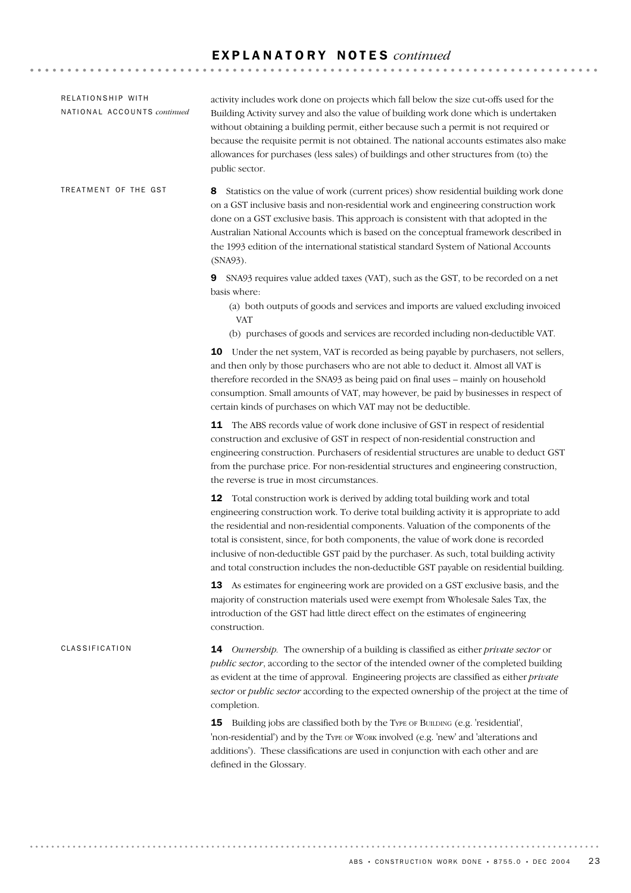| RELATIONSHIP WITH<br>NATIONAL ACCOUNTS continued | activity includes work done on projects which fall below the size cut-offs used for the<br>Building Activity survey and also the value of building work done which is undertaken<br>without obtaining a building permit, either because such a permit is not required or<br>because the requisite permit is not obtained. The national accounts estimates also make<br>allowances for purchases (less sales) of buildings and other structures from (to) the<br>public sector.                                                                   |
|--------------------------------------------------|--------------------------------------------------------------------------------------------------------------------------------------------------------------------------------------------------------------------------------------------------------------------------------------------------------------------------------------------------------------------------------------------------------------------------------------------------------------------------------------------------------------------------------------------------|
| TREATMENT OF THE GST                             | Statistics on the value of work (current prices) show residential building work done<br>8<br>on a GST inclusive basis and non-residential work and engineering construction work<br>done on a GST exclusive basis. This approach is consistent with that adopted in the<br>Australian National Accounts which is based on the conceptual framework described in<br>the 1993 edition of the international statistical standard System of National Accounts<br>(SNA93).                                                                            |
|                                                  | SNA93 requires value added taxes (VAT), such as the GST, to be recorded on a net<br>9<br>basis where:<br>(a) both outputs of goods and services and imports are valued excluding invoiced<br><b>VAT</b><br>(b) purchases of goods and services are recorded including non-deductible VAT.                                                                                                                                                                                                                                                        |
|                                                  | <b>10</b> Under the net system, VAT is recorded as being payable by purchasers, not sellers,<br>and then only by those purchasers who are not able to deduct it. Almost all VAT is<br>therefore recorded in the SNA93 as being paid on final uses - mainly on household<br>consumption. Small amounts of VAT, may however, be paid by businesses in respect of<br>certain kinds of purchases on which VAT may not be deductible.                                                                                                                 |
|                                                  | The ABS records value of work done inclusive of GST in respect of residential<br>11<br>construction and exclusive of GST in respect of non-residential construction and<br>engineering construction. Purchasers of residential structures are unable to deduct GST<br>from the purchase price. For non-residential structures and engineering construction,<br>the reverse is true in most circumstances.                                                                                                                                        |
|                                                  | Total construction work is derived by adding total building work and total<br>12<br>engineering construction work. To derive total building activity it is appropriate to add<br>the residential and non-residential components. Valuation of the components of the<br>total is consistent, since, for both components, the value of work done is recorded<br>inclusive of non-deductible GST paid by the purchaser. As such, total building activity<br>and total construction includes the non-deductible GST payable on residential building. |
|                                                  | 13 As estimates for engineering work are provided on a GST exclusive basis, and the<br>majority of construction materials used were exempt from Wholesale Sales Tax, the<br>introduction of the GST had little direct effect on the estimates of engineering<br>construction.                                                                                                                                                                                                                                                                    |
| CLASSIFICATION                                   | <b>14</b> Ownership. The ownership of a building is classified as either private sector or<br>public sector, according to the sector of the intended owner of the completed building<br>as evident at the time of approval. Engineering projects are classified as either private<br>sector or public sector according to the expected ownership of the project at the time of<br>completion.                                                                                                                                                    |
|                                                  | Building jobs are classified both by the TYPE OF BUILDING (e.g. 'residential',<br>15<br>'non-residential') and by the TYPE OF WORK involved (e.g. 'new' and 'alterations and<br>additions'). These classifications are used in conjunction with each other and are<br>defined in the Glossary.                                                                                                                                                                                                                                                   |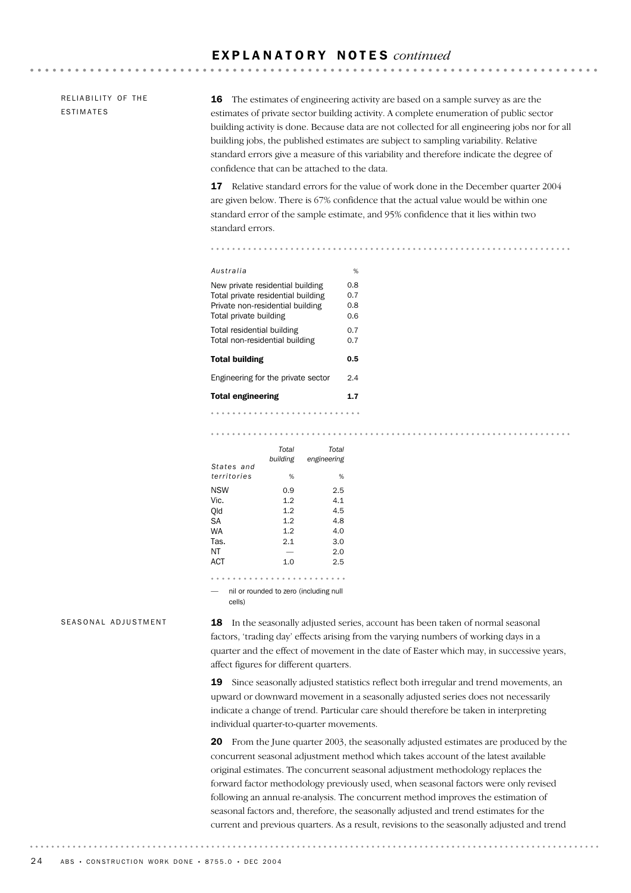RELIABILITY OF THE ESTIMATES

16 The estimates of engineering activity are based on a sample survey as are the estimates of private sector building activity. A complete enumeration of public sector building activity is done. Because data are not collected for all engineering jobs nor for all building jobs, the published estimates are subject to sampling variability. Relative standard errors give a measure of this variability and therefore indicate the degree of confidence that can be attached to the data.

17 Relative standard errors for the value of work done in the December quarter 2004 are given below. There is 67% confidence that the actual value would be within one standard error of the sample estimate, and 95% confidence that it lies within two standard errors.

| Australia                                                                                                                            | %                        |
|--------------------------------------------------------------------------------------------------------------------------------------|--------------------------|
| New private residential building<br>Total private residential building<br>Private non-residential building<br>Total private building | 0.8<br>0.7<br>0.8<br>0.6 |
| Total residential building<br>Total non-residential building                                                                         | 0.7<br>0.7               |
| Total building                                                                                                                       | 0.5                      |
| Engineering for the private sector                                                                                                   | 2.4                      |
| <b>Total engineering</b>                                                                                                             | 1.7                      |
|                                                                                                                                      |                          |

#### 

|             | Total<br>building | Total<br>engineering                   |
|-------------|-------------------|----------------------------------------|
| States and  |                   |                                        |
| territories | %                 | %                                      |
| <b>NSW</b>  | 0.9               | 2.5                                    |
| Vic.        | 1.2               | 4.1                                    |
| Old         | 1.2               | 4.5                                    |
| SA          | 1.2               | 4.8                                    |
| WA          | 1.2               | 4.0                                    |
| Tas.        | 2.1               | 3.0                                    |
| ΝT          |                   | 2.0                                    |
| <b>ACT</b>  | 1.0               | 2.5                                    |
|             |                   |                                        |
| relle)      |                   | nil or rounded to zero (including null |

SEASONAL ADJUSTMENT

18 In the seasonally adjusted series, account has been taken of normal seasonal factors, 'trading day' effects arising from the varying numbers of working days in a quarter and the effect of movement in the date of Easter which may, in successive years, affect figures for different quarters.

19 Since seasonally adjusted statistics reflect both irregular and trend movements, an upward or downward movement in a seasonally adjusted series does not necessarily indicate a change of trend. Particular care should therefore be taken in interpreting individual quarter-to-quarter movements.

20 From the June quarter 2003, the seasonally adjusted estimates are produced by the concurrent seasonal adjustment method which takes account of the latest available original estimates. The concurrent seasonal adjustment methodology replaces the forward factor methodology previously used, when seasonal factors were only revised following an annual re-analysis. The concurrent method improves the estimation of seasonal factors and, therefore, the seasonally adjusted and trend estimates for the current and previous quarters. As a result, revisions to the seasonally adjusted and trend

. . . . . . . .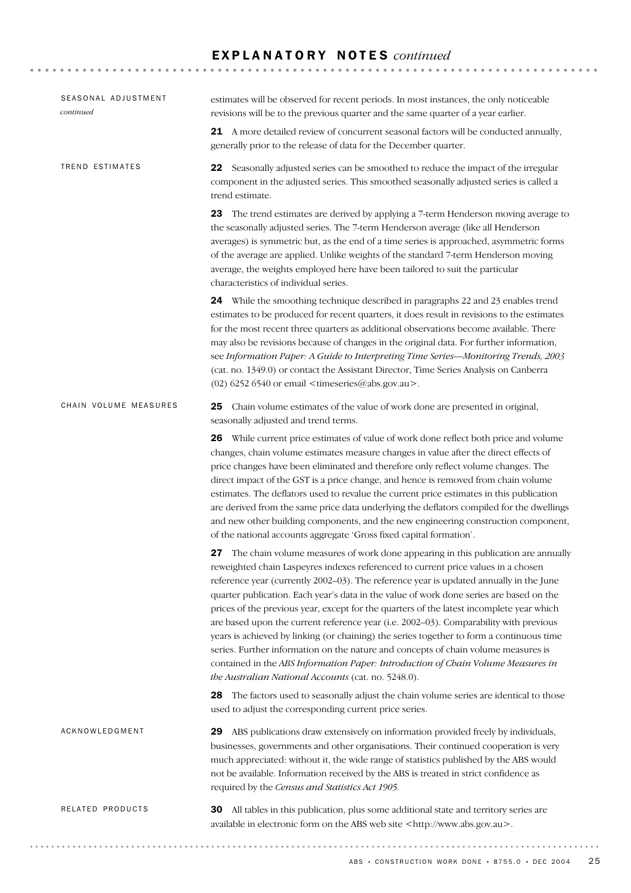| SEASONAL ADJUSTMENT<br>continued | estimates will be observed for recent periods. In most instances, the only noticeable<br>revisions will be to the previous quarter and the same quarter of a year earlier.                                                                                                                                                                                                                                                                                                                                                                                                                                                                                                                                                                                                                                                                                                          |
|----------------------------------|-------------------------------------------------------------------------------------------------------------------------------------------------------------------------------------------------------------------------------------------------------------------------------------------------------------------------------------------------------------------------------------------------------------------------------------------------------------------------------------------------------------------------------------------------------------------------------------------------------------------------------------------------------------------------------------------------------------------------------------------------------------------------------------------------------------------------------------------------------------------------------------|
|                                  | 21 A more detailed review of concurrent seasonal factors will be conducted annually,<br>generally prior to the release of data for the December quarter.                                                                                                                                                                                                                                                                                                                                                                                                                                                                                                                                                                                                                                                                                                                            |
| TREND ESTIMATES                  | 22 Seasonally adjusted series can be smoothed to reduce the impact of the irregular<br>component in the adjusted series. This smoothed seasonally adjusted series is called a<br>trend estimate.                                                                                                                                                                                                                                                                                                                                                                                                                                                                                                                                                                                                                                                                                    |
|                                  | The trend estimates are derived by applying a 7-term Henderson moving average to<br>23<br>the seasonally adjusted series. The 7-term Henderson average (like all Henderson<br>averages) is symmetric but, as the end of a time series is approached, asymmetric forms<br>of the average are applied. Unlike weights of the standard 7-term Henderson moving<br>average, the weights employed here have been tailored to suit the particular<br>characteristics of individual series.                                                                                                                                                                                                                                                                                                                                                                                                |
|                                  | 24 While the smoothing technique described in paragraphs 22 and 23 enables trend<br>estimates to be produced for recent quarters, it does result in revisions to the estimates<br>for the most recent three quarters as additional observations become available. There<br>may also be revisions because of changes in the original data. For further information,<br>see Information Paper: A Guide to Interpreting Time Series-Monitoring Trends, 2003<br>(cat. no. 1349.0) or contact the Assistant Director, Time Series Analysis on Canberra<br>$(02)$ 6252 6540 or email <timeseries@abs.gov.au>.</timeseries@abs.gov.au>                                                                                                                                                                                                                                                     |
| CHAIN VOLUME MEASURES            | 25<br>Chain volume estimates of the value of work done are presented in original,<br>seasonally adjusted and trend terms.                                                                                                                                                                                                                                                                                                                                                                                                                                                                                                                                                                                                                                                                                                                                                           |
|                                  | 26 While current price estimates of value of work done reflect both price and volume<br>changes, chain volume estimates measure changes in value after the direct effects of<br>price changes have been eliminated and therefore only reflect volume changes. The<br>direct impact of the GST is a price change, and hence is removed from chain volume<br>estimates. The deflators used to revalue the current price estimates in this publication<br>are derived from the same price data underlying the deflators compiled for the dwellings<br>and new other building components, and the new engineering construction component,<br>of the national accounts aggregate 'Gross fixed capital formation'.                                                                                                                                                                        |
|                                  | The chain volume measures of work done appearing in this publication are annually<br>27<br>reweighted chain Laspeyres indexes referenced to current price values in a chosen<br>reference year (currently 2002-03). The reference year is updated annually in the June<br>quarter publication. Each year's data in the value of work done series are based on the<br>prices of the previous year, except for the quarters of the latest incomplete year which<br>are based upon the current reference year (i.e. 2002-03). Comparability with previous<br>years is achieved by linking (or chaining) the series together to form a continuous time<br>series. Further information on the nature and concepts of chain volume measures is<br>contained in the ABS Information Paper: Introduction of Chain Volume Measures in<br>the Australian National Accounts (cat. no. 5248.0). |
|                                  | 28 The factors used to seasonally adjust the chain volume series are identical to those<br>used to adjust the corresponding current price series.                                                                                                                                                                                                                                                                                                                                                                                                                                                                                                                                                                                                                                                                                                                                   |
| ACKNOWLEDGMENT                   | ABS publications draw extensively on information provided freely by individuals,<br>29<br>businesses, governments and other organisations. Their continued cooperation is very<br>much appreciated: without it, the wide range of statistics published by the ABS would<br>not be available. Information received by the ABS is treated in strict confidence as<br>required by the Census and Statistics Act 1905.                                                                                                                                                                                                                                                                                                                                                                                                                                                                  |
| RELATED PRODUCTS                 | All tables in this publication, plus some additional state and territory series are<br>30<br>available in electronic form on the ABS web site <http: www.abs.gov.au="">.</http:>                                                                                                                                                                                                                                                                                                                                                                                                                                                                                                                                                                                                                                                                                                    |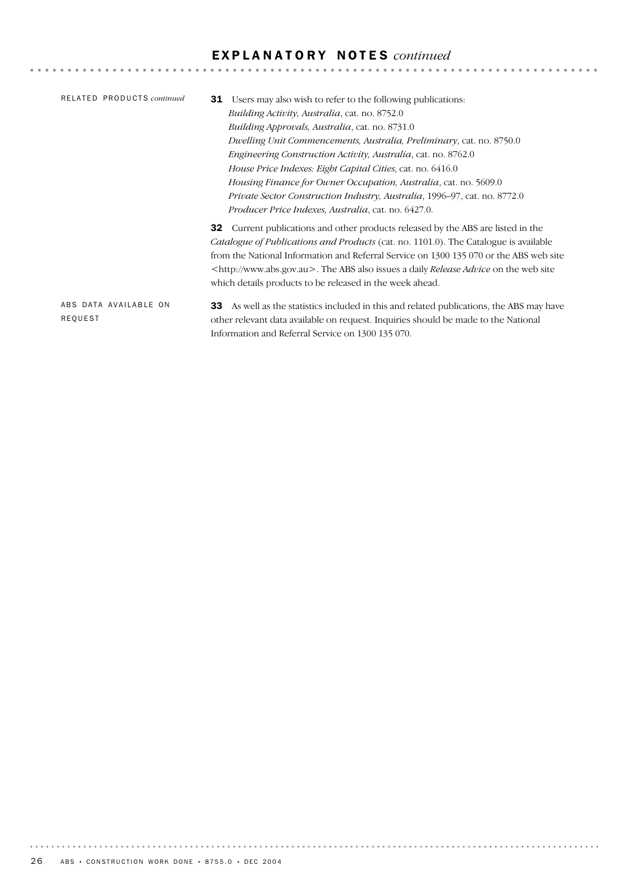| RELATED PRODUCTS continued       | Users may also wish to refer to the following publications:<br>31<br><i>Building Activity, Australia, cat. no. 8752.0</i><br><i>Building Approvals, Australia, cat. no.</i> 8731.0<br>Dwelling Unit Commencements, Australia, Preliminary, cat. no. 8750.0<br><i>Engineering Construction Activity, Australia, cat. no. 8762.0</i><br>House Price Indexes: Eight Capital Cities, cat. no. 6416.0<br>Housing Finance for Owner Occupation, Australia, cat. no. 5609.0<br><i>Private Sector Construction Industry, Australia, 1996–97, cat. no. 8772.0</i> |
|----------------------------------|----------------------------------------------------------------------------------------------------------------------------------------------------------------------------------------------------------------------------------------------------------------------------------------------------------------------------------------------------------------------------------------------------------------------------------------------------------------------------------------------------------------------------------------------------------|
|                                  | <i>Producer Price Indexes, Australia, cat. no.</i> 6427.0.<br><b>32</b> Current publications and other products released by the ABS are listed in the<br><i>Catalogue of Publications and Products</i> (cat. no. 1101.0). The Catalogue is available<br>from the National Information and Referral Service on 1300 135 070 or the ABS web site<br><http: www.abs.gov.au="">. The ABS also issues a daily <i>Release Advice</i> on the web site<br/>which details products to be released in the week ahead.</http:>                                      |
| ABS DATA AVAILABLE ON<br>REQUEST | As well as the statistics included in this and related publications, the ABS may have<br>33<br>other relevant data available on request. Inquiries should be made to the National                                                                                                                                                                                                                                                                                                                                                                        |

Information and Referral Service on 1300 135 070.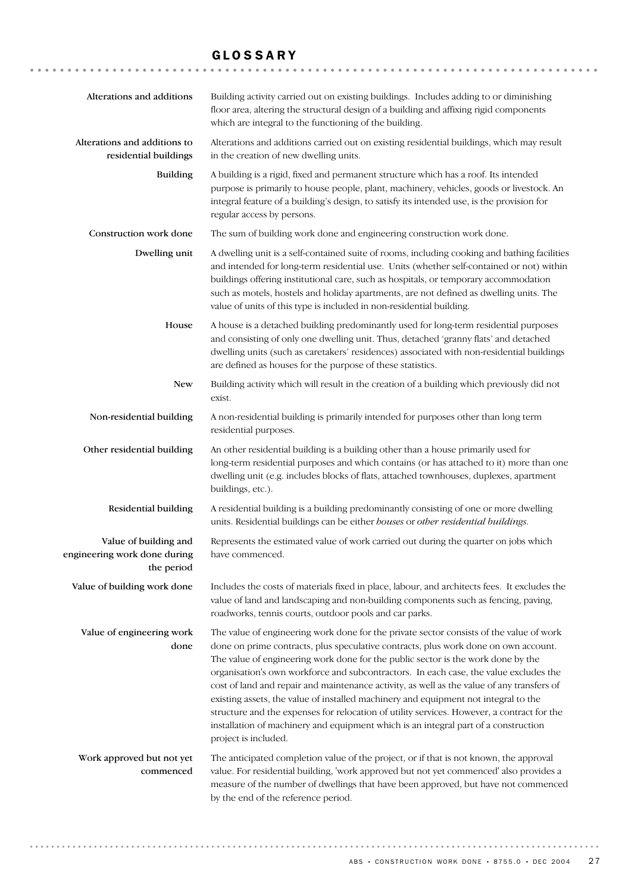### GLOSSARY

| Alterations and additions                                           | Building activity carried out on existing buildings. Includes adding to or diminishing<br>floor area, altering the structural design of a building and affixing rigid components<br>which are integral to the functioning of the building.                                                                                                                                                                                                                                                                                                                                                                                                                                                                                                                    |
|---------------------------------------------------------------------|---------------------------------------------------------------------------------------------------------------------------------------------------------------------------------------------------------------------------------------------------------------------------------------------------------------------------------------------------------------------------------------------------------------------------------------------------------------------------------------------------------------------------------------------------------------------------------------------------------------------------------------------------------------------------------------------------------------------------------------------------------------|
| Alterations and additions to<br>residential buildings               | Alterations and additions carried out on existing residential buildings, which may result<br>in the creation of new dwelling units.                                                                                                                                                                                                                                                                                                                                                                                                                                                                                                                                                                                                                           |
| <b>Building</b>                                                     | A building is a rigid, fixed and permanent structure which has a roof. Its intended<br>purpose is primarily to house people, plant, machinery, vehicles, goods or livestock. An<br>integral feature of a building's design, to satisfy its intended use, is the provision for<br>regular access by persons.                                                                                                                                                                                                                                                                                                                                                                                                                                                   |
| Construction work done                                              | The sum of building work done and engineering construction work done.                                                                                                                                                                                                                                                                                                                                                                                                                                                                                                                                                                                                                                                                                         |
| Dwelling unit                                                       | A dwelling unit is a self-contained suite of rooms, including cooking and bathing facilities<br>and intended for long-term residential use. Units (whether self-contained or not) within<br>buildings offering institutional care, such as hospitals, or temporary accommodation<br>such as motels, hostels and holiday apartments, are not defined as dwelling units. The<br>value of units of this type is included in non-residential building.                                                                                                                                                                                                                                                                                                            |
| House                                                               | A house is a detached building predominantly used for long-term residential purposes<br>and consisting of only one dwelling unit. Thus, detached 'granny flats' and detached<br>dwelling units (such as caretakers' residences) associated with non-residential buildings<br>are defined as houses for the purpose of these statistics.                                                                                                                                                                                                                                                                                                                                                                                                                       |
| New                                                                 | Building activity which will result in the creation of a building which previously did not<br>exist.                                                                                                                                                                                                                                                                                                                                                                                                                                                                                                                                                                                                                                                          |
| Non-residential building                                            | A non-residential building is primarily intended for purposes other than long term<br>residential purposes.                                                                                                                                                                                                                                                                                                                                                                                                                                                                                                                                                                                                                                                   |
| Other residential building                                          | An other residential building is a building other than a house primarily used for<br>long-term residential purposes and which contains (or has attached to it) more than one<br>dwelling unit (e.g. includes blocks of flats, attached townhouses, duplexes, apartment<br>buildings, etc.).                                                                                                                                                                                                                                                                                                                                                                                                                                                                   |
| Residential building                                                | A residential building is a building predominantly consisting of one or more dwelling<br>units. Residential buildings can be either houses or other residential buildings.                                                                                                                                                                                                                                                                                                                                                                                                                                                                                                                                                                                    |
| Value of building and<br>engineering work done during<br>the period | Represents the estimated value of work carried out during the quarter on jobs which<br>have commenced.                                                                                                                                                                                                                                                                                                                                                                                                                                                                                                                                                                                                                                                        |
| Value of building work done                                         | Includes the costs of materials fixed in place, labour, and architects fees. It excludes the<br>value of land and landscaping and non-building components such as fencing, paving,<br>roadworks, tennis courts, outdoor pools and car parks.                                                                                                                                                                                                                                                                                                                                                                                                                                                                                                                  |
| Value of engineering work<br>done                                   | The value of engineering work done for the private sector consists of the value of work<br>done on prime contracts, plus speculative contracts, plus work done on own account.<br>The value of engineering work done for the public sector is the work done by the<br>organisation's own workforce and subcontractors. In each case, the value excludes the<br>cost of land and repair and maintenance activity, as well as the value of any transfers of<br>existing assets, the value of installed machinery and equipment not integral to the<br>structure and the expenses for relocation of utility services. However, a contract for the<br>installation of machinery and equipment which is an integral part of a construction<br>project is included. |
| Work approved but not yet<br>commenced                              | The anticipated completion value of the project, or if that is not known, the approval<br>value. For residential building, 'work approved but not yet commenced' also provides a<br>measure of the number of dwellings that have been approved, but have not commenced<br>by the end of the reference period.                                                                                                                                                                                                                                                                                                                                                                                                                                                 |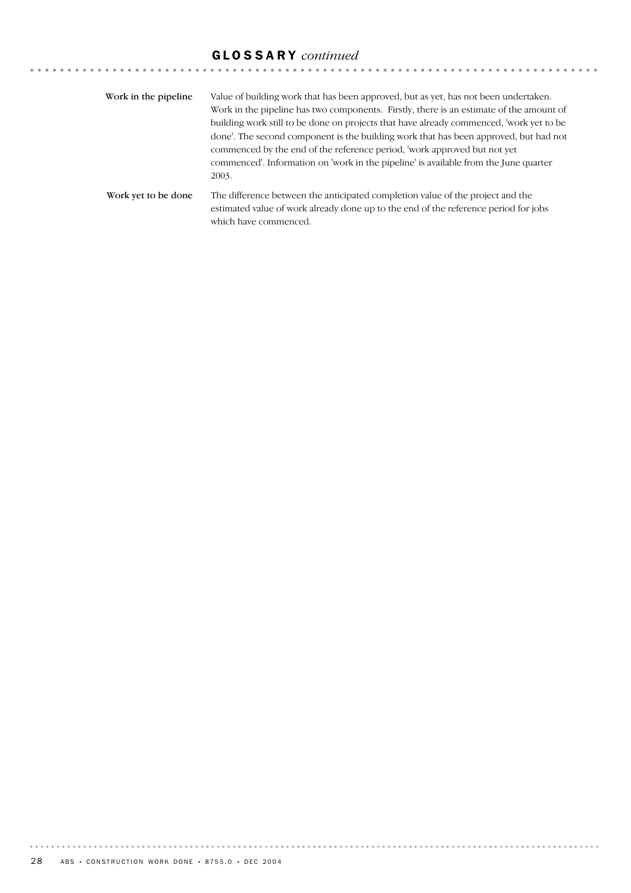# GLOSSARY *continued*

| Work in the pipeline. | Value of building work that has been approved, but as yet, has not been undertaken.<br>Work in the pipeline has two components. Firstly, there is an estimate of the amount of<br>building work still to be done on projects that have already commenced, 'work yet to be<br>done'. The second component is the building work that has been approved, but had not<br>commenced by the end of the reference period, 'work approved but not yet<br>commenced'. Information on 'work in the pipeline' is available from the June quarter<br>2003. |
|-----------------------|------------------------------------------------------------------------------------------------------------------------------------------------------------------------------------------------------------------------------------------------------------------------------------------------------------------------------------------------------------------------------------------------------------------------------------------------------------------------------------------------------------------------------------------------|
| Work yet to be done   | The difference between the anticipated completion value of the project and the<br>estimated value of work already done up to the end of the reference period for jobs<br>which have commenced.                                                                                                                                                                                                                                                                                                                                                 |